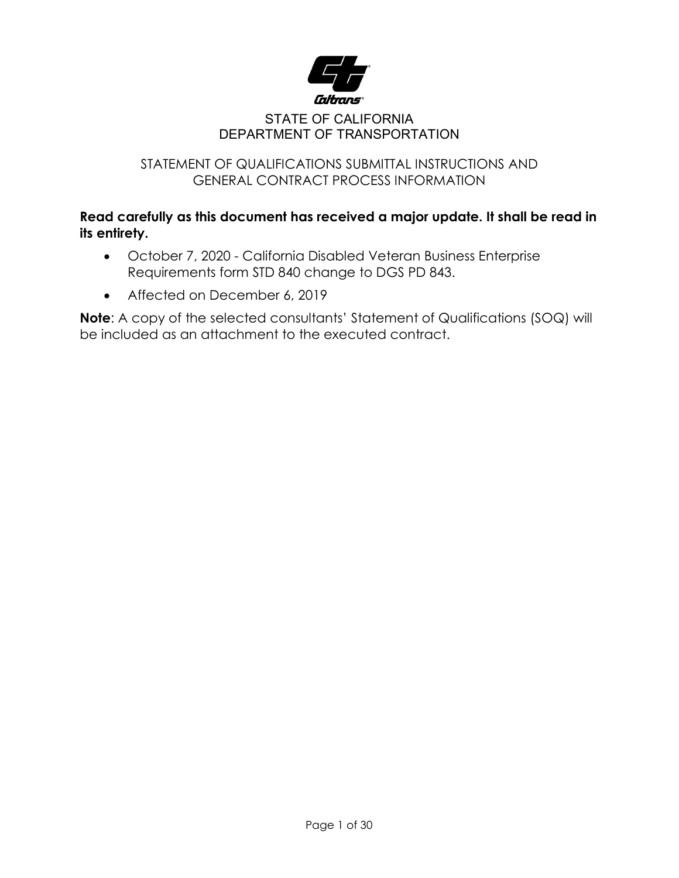

#### STATE OF CALIFORNIA DEPARTMENT OF TRANSPORTATION

#### STATEMENT OF QUALIFICATIONS SUBMITTAL INSTRUCTIONS AND GENERAL CONTRACT PROCESS INFORMATION

### **Read carefully as this document has received a major update. It shall be read in its entirety.**

- October 7, 2020 California Disabled Veteran Business Enterprise Requirements form STD 840 change to DGS PD 843.
- Affected on December 6, 2019

**Note:** A copy of the selected consultants' Statement of Qualifications (SOQ) will be included as an attachment to the executed contract.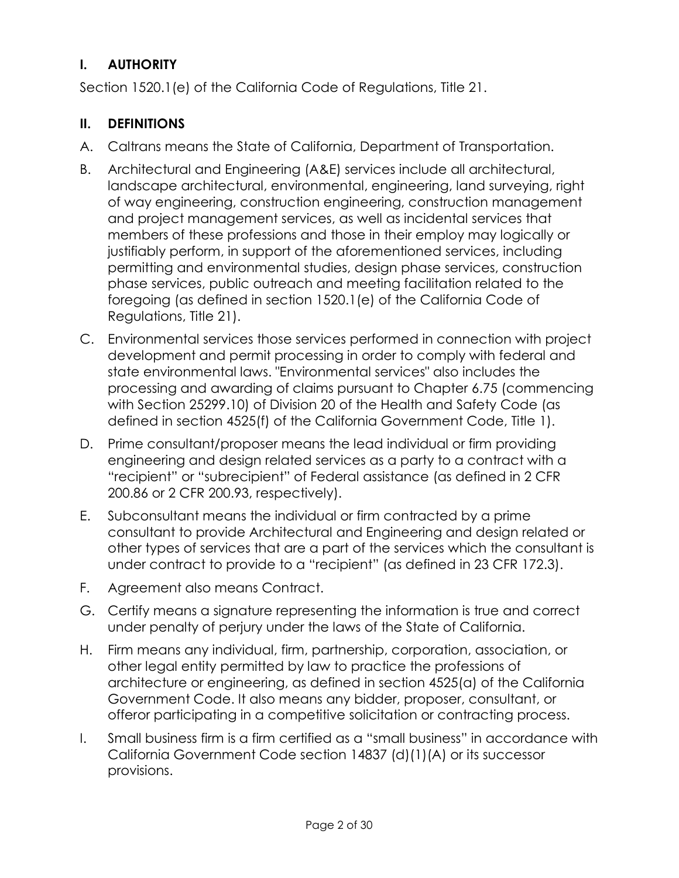## **I. AUTHORITY**

Section 1520.1(e) of the California Code of Regulations, Title 21.

### **II. DEFINITIONS**

- A. Caltrans means the State of California, Department of Transportation.
- B. Architectural and Engineering (A&E) services include all architectural, landscape architectural, environmental, engineering, land surveying, right of way engineering, construction engineering, construction management and project management services, as well as incidental services that members of these professions and those in their employ may logically or justifiably perform, in support of the aforementioned services, including permitting and environmental studies, design phase services, construction phase services, public outreach and meeting facilitation related to the foregoing (as defined in section 1520.1(e) of the California Code of Regulations, Title 21).
- C. Environmental services those services performed in connection with project development and permit processing in order to comply with federal and state environmental laws. "Environmental services" also includes the processing and awarding of claims pursuant to Chapter 6.75 (commencing with Section 25299.10) of Division 20 of the Health and Safety Code (as defined in section 4525(f) of the California Government Code, Title 1).
- D. Prime consultant/proposer means the lead individual or firm providing engineering and design related services as a party to a contract with a "recipient" or "subrecipient" of Federal assistance (as defined in 2 CFR 200.86 or 2 CFR 200.93, respectively).
- E. Subconsultant means the individual or firm contracted by a prime consultant to provide Architectural and Engineering and design related or other types of services that are a part of the services which the consultant is under contract to provide to a "recipient" (as defined in 23 CFR 172.3).
- F. Agreement also means Contract.
- G. Certify means a signature representing the information is true and correct under penalty of perjury under the laws of the State of California.
- H. Firm means any individual, firm, partnership, corporation, association, or other legal entity permitted by law to practice the professions of architecture or engineering, as defined in section 4525(a) of the California Government Code. It also means any bidder, proposer, consultant, or offeror participating in a competitive solicitation or contracting process.
- I. Small business firm is a firm certified as a "small business" in accordance with California Government Code section 14837 (d)(1)(A) or its successor provisions.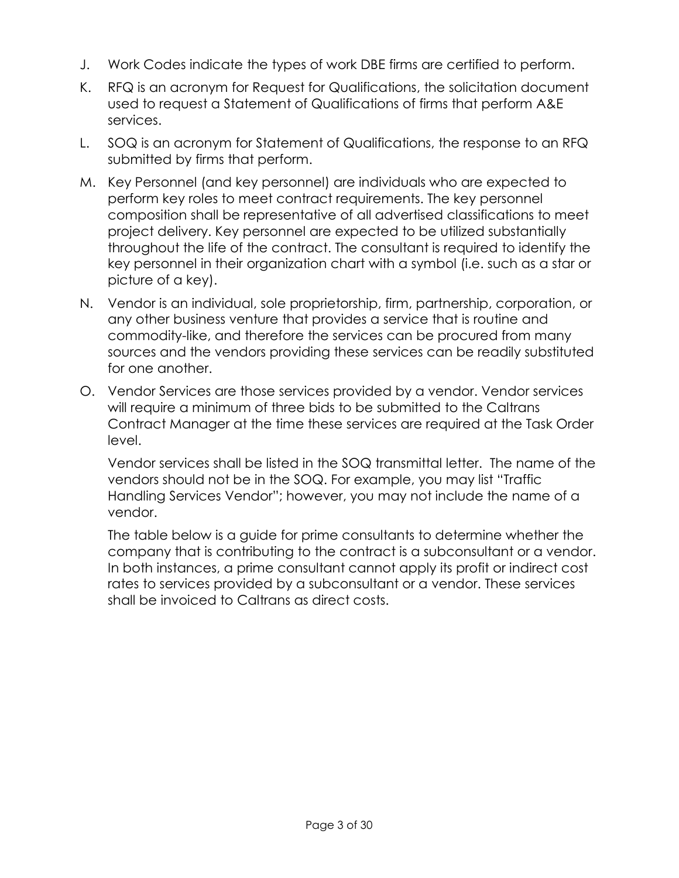- J. Work Codes indicate the types of work DBE firms are certified to perform.
- K. RFQ is an acronym for Request for Qualifications, the solicitation document used to request a Statement of Qualifications of firms that perform A&E services.
- L. SOQ is an acronym for Statement of Qualifications, the response to an RFQ submitted by firms that perform.
- M. Key Personnel (and key personnel) are individuals who are expected to perform key roles to meet contract requirements. The key personnel composition shall be representative of all advertised classifications to meet project delivery. Key personnel are expected to be utilized substantially throughout the life of the contract. The consultant is required to identify the key personnel in their organization chart with a symbol (i.e. such as a star or picture of a key).
- N. Vendor is an individual, sole proprietorship, firm, partnership, corporation, or any other business venture that provides a service that is routine and commodity-like, and therefore the services can be procured from many sources and the vendors providing these services can be readily substituted for one another.
- O. Vendor Services are those services provided by a vendor. Vendor services will require a minimum of three bids to be submitted to the Caltrans Contract Manager at the time these services are required at the Task Order level.

Vendor services shall be listed in the SOQ transmittal letter. The name of the vendors should not be in the SOQ. For example, you may list "Traffic Handling Services Vendor"; however, you may not include the name of a vendor.

The table below is a guide for prime consultants to determine whether the company that is contributing to the contract is a subconsultant or a vendor. In both instances, a prime consultant cannot apply its profit or indirect cost rates to services provided by a subconsultant or a vendor. These services shall be invoiced to Caltrans as direct costs.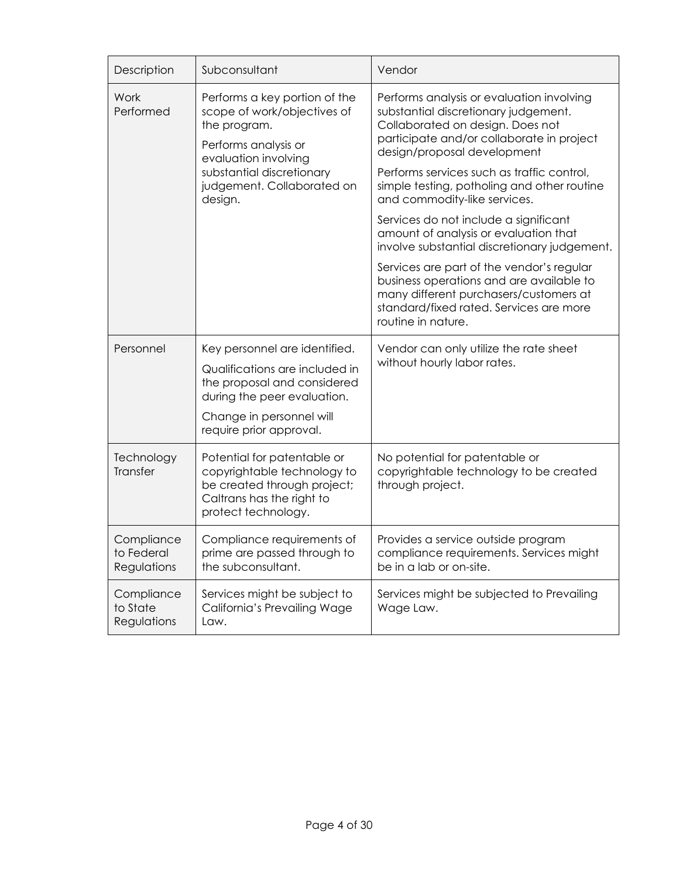| Description                             | Subconsultant                                                                                                                                                                        | Vendor                                                                                                                                                                                            |  |  |
|-----------------------------------------|--------------------------------------------------------------------------------------------------------------------------------------------------------------------------------------|---------------------------------------------------------------------------------------------------------------------------------------------------------------------------------------------------|--|--|
| Work<br>Performed                       | Performs a key portion of the<br>scope of work/objectives of<br>the program.<br>Performs analysis or<br>evaluation involving                                                         | Performs analysis or evaluation involving<br>substantial discretionary judgement.<br>Collaborated on design. Does not<br>participate and/or collaborate in project<br>design/proposal development |  |  |
|                                         | substantial discretionary<br>judgement. Collaborated on<br>design.                                                                                                                   | Performs services such as traffic control,<br>simple testing, potholing and other routine<br>and commodity-like services.                                                                         |  |  |
|                                         |                                                                                                                                                                                      | Services do not include a significant<br>amount of analysis or evaluation that<br>involve substantial discretionary judgement.                                                                    |  |  |
|                                         |                                                                                                                                                                                      | Services are part of the vendor's regular<br>business operations and are available to<br>many different purchasers/customers at<br>standard/fixed rated. Services are more<br>routine in nature.  |  |  |
| Personnel                               | Key personnel are identified.<br>Qualifications are included in<br>the proposal and considered<br>during the peer evaluation.<br>Change in personnel will<br>require prior approval. | Vendor can only utilize the rate sheet<br>without hourly labor rates.                                                                                                                             |  |  |
| Technology<br><b>Transfer</b>           | Potential for patentable or<br>copyrightable technology to<br>be created through project;<br>Caltrans has the right to<br>protect technology.                                        | No potential for patentable or<br>copyrightable technology to be created<br>through project.                                                                                                      |  |  |
| Compliance<br>to Federal<br>Regulations | Compliance requirements of<br>prime are passed through to<br>the subconsultant.                                                                                                      | Provides a service outside program<br>compliance requirements. Services might<br>be in a lab or on-site.                                                                                          |  |  |
| Compliance<br>to State<br>Regulations   | Services might be subject to<br>California's Prevailing Wage<br>Law.                                                                                                                 | Services might be subjected to Prevailing<br>Wage Law.                                                                                                                                            |  |  |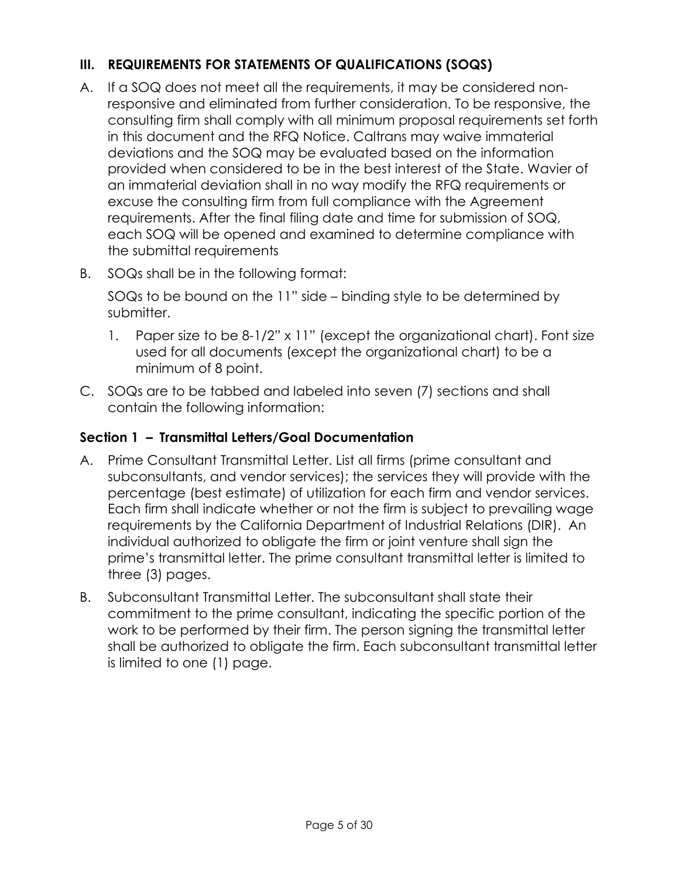# **III. REQUIREMENTS FOR STATEMENTS OF QUALIFICATIONS (SOQS)**

- A. If a SOQ does not meet all the requirements, it may be considered nonresponsive and eliminated from further consideration. To be responsive, the consulting firm shall comply with all minimum proposal requirements set forth in this document and the RFQ Notice. Caltrans may waive immaterial deviations and the SOQ may be evaluated based on the information provided when considered to be in the best interest of the State. Wavier of an immaterial deviation shall in no way modify the RFQ requirements or excuse the consulting firm from full compliance with the Agreement requirements. After the final filing date and time for submission of SOQ, each SOQ will be opened and examined to determine compliance with the submittal requirements
- B. SOQs shall be in the following format:

SOQs to be bound on the 11" side – binding style to be determined by submitter.

- 1. Paper size to be 8-1/2" x 11" (except the organizational chart). Font size used for all documents (except the organizational chart) to be a minimum of 8 point.
- C. SOQs are to be tabbed and labeled into seven (7) sections and shall contain the following information:

## **Section 1 – Transmittal Letters/Goal Documentation**

- A. Prime Consultant Transmittal Letter. List all firms (prime consultant and subconsultants, and vendor services); the services they will provide with the percentage (best estimate) of utilization for each firm and vendor services. Each firm shall indicate whether or not the firm is subject to prevailing wage requirements by the California Department of Industrial Relations (DIR). An individual authorized to obligate the firm or joint venture shall sign the prime's transmittal letter. The prime consultant transmittal letter is limited to three (3) pages.
- B. Subconsultant Transmittal Letter. The subconsultant shall state their commitment to the prime consultant, indicating the specific portion of the work to be performed by their firm. The person signing the transmittal letter shall be authorized to obligate the firm. Each subconsultant transmittal letter is limited to one (1) page.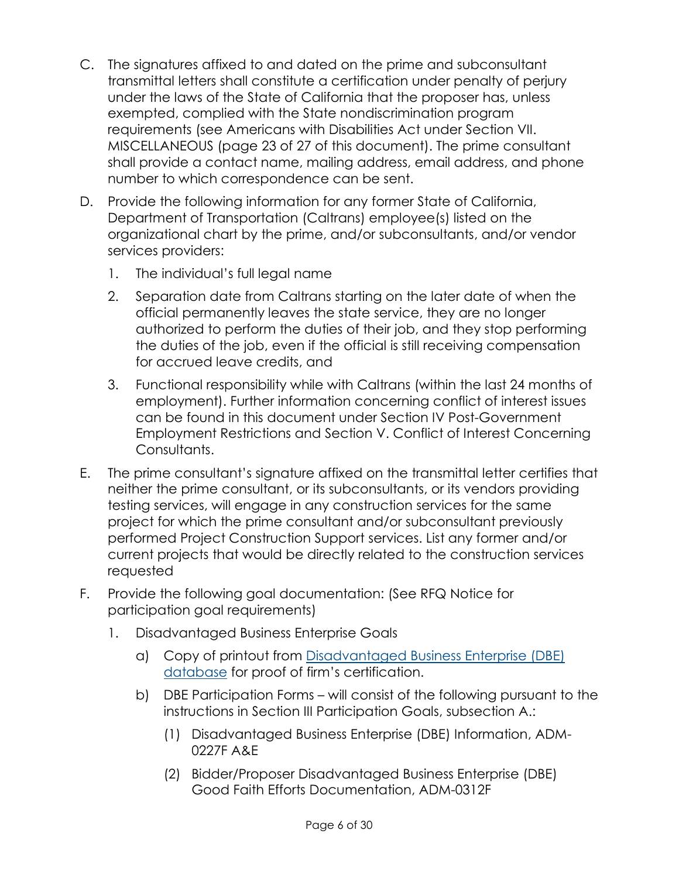- C. The signatures affixed to and dated on the prime and subconsultant transmittal letters shall constitute a certification under penalty of perjury under the laws of the State of California that the proposer has, unless exempted, complied with the State nondiscrimination program requirements (see Americans with Disabilities Act under Section VII. MISCELLANEOUS (page 23 of 27 of this document). The prime consultant shall provide a contact name, mailing address, email address, and phone number to which correspondence can be sent.
- D. Provide the following information for any former State of California, Department of Transportation (Caltrans) employee(s) listed on the organizational chart by the prime, and/or subconsultants, and/or vendor services providers:
	- 1. The individual's full legal name
	- 2. Separation date from Caltrans starting on the later date of when the official permanently leaves the state service, they are no longer authorized to perform the duties of their job, and they stop performing the duties of the job, even if the official is still receiving compensation for accrued leave credits, and
	- 3. Functional responsibility while with Caltrans (within the last 24 months of employment). Further information concerning conflict of interest issues can be found in this document under Section IV Post-Government Employment Restrictions and Section V. Conflict of Interest Concerning Consultants.
- E. The prime consultant's signature affixed on the transmittal letter certifies that neither the prime consultant, or its subconsultants, or its vendors providing testing services, will engage in any construction services for the same project for which the prime consultant and/or subconsultant previously performed Project Construction Support services. List any former and/or current projects that would be directly related to the construction services requested
- F. Provide the following goal documentation: (See RFQ Notice for participation goal requirements)
	- 1. Disadvantaged Business Enterprise Goals
		- a) Copy of printout from [Disadvantaged Business](https://dot.ca.gov/programs/business-and-economic-opportunity/dbe) Enterprise (DBE) [database](https://dot.ca.gov/programs/business-and-economic-opportunity/dbe) for proof of firm's certification.
		- b) DBE Participation Forms will consist of the following pursuant to the instructions in Section III Participation Goals, subsection A.:
			- (1) Disadvantaged Business Enterprise (DBE) Information, ADM-0227F A&E
			- (2) Bidder/Proposer Disadvantaged Business Enterprise (DBE) Good Faith Efforts Documentation, ADM-0312F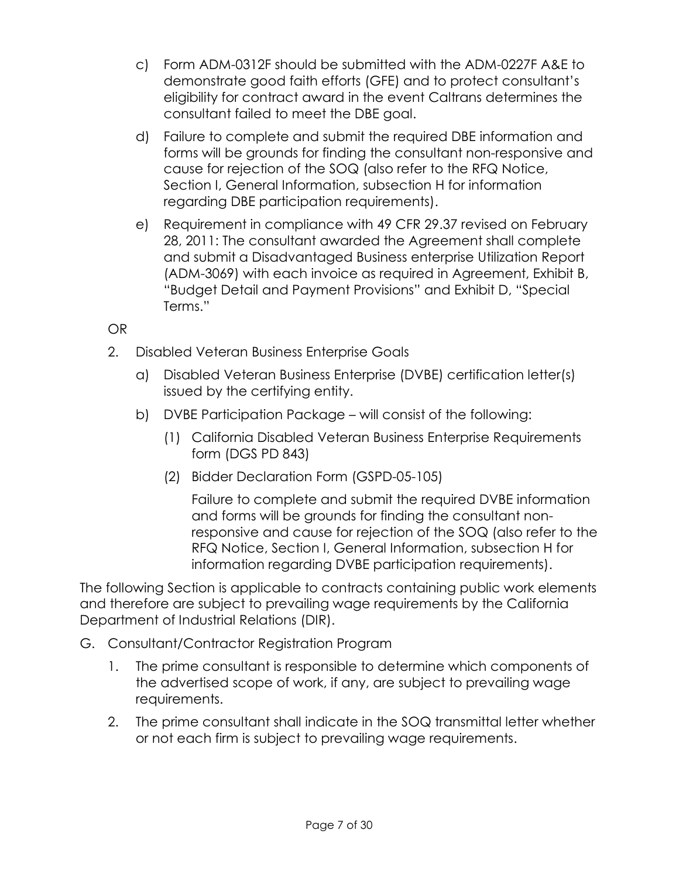- c) Form ADM-0312F should be submitted with the ADM-0227F A&E to demonstrate good faith efforts (GFE) and to protect consultant's eligibility for contract award in the event Caltrans determines the consultant failed to meet the DBE goal.
- d) Failure to complete and submit the required DBE information and forms will be grounds for finding the consultant non-responsive and cause for rejection of the SOQ (also refer to the RFQ Notice, Section I, General Information, subsection H for information regarding DBE participation requirements).
- e) Requirement in compliance with 49 CFR 29.37 revised on February 28, 2011: The consultant awarded the Agreement shall complete and submit a Disadvantaged Business enterprise Utilization Report (ADM-3069) with each invoice as required in Agreement, Exhibit B, "Budget Detail and Payment Provisions" and Exhibit D, "Special Terms."

OR

- 2. Disabled Veteran Business Enterprise Goals
	- a) Disabled Veteran Business Enterprise (DVBE) certification letter(s) issued by the certifying entity.
	- b) DVBE Participation Package will consist of the following:
		- (1) California Disabled Veteran Business Enterprise Requirements form (DGS PD 843)
		- (2) Bidder Declaration Form (GSPD-05-105)

Failure to complete and submit the required DVBE information and forms will be grounds for finding the consultant nonresponsive and cause for rejection of the SOQ (also refer to the RFQ Notice, Section I, General Information, subsection H for information regarding DVBE participation requirements).

The following Section is applicable to contracts containing public work elements and therefore are subject to prevailing wage requirements by the California Department of Industrial Relations (DIR).

- G. Consultant/Contractor Registration Program
	- 1. The prime consultant is responsible to determine which components of the advertised scope of work, if any, are subject to prevailing wage requirements.
	- 2. The prime consultant shall indicate in the SOQ transmittal letter whether or not each firm is subject to prevailing wage requirements.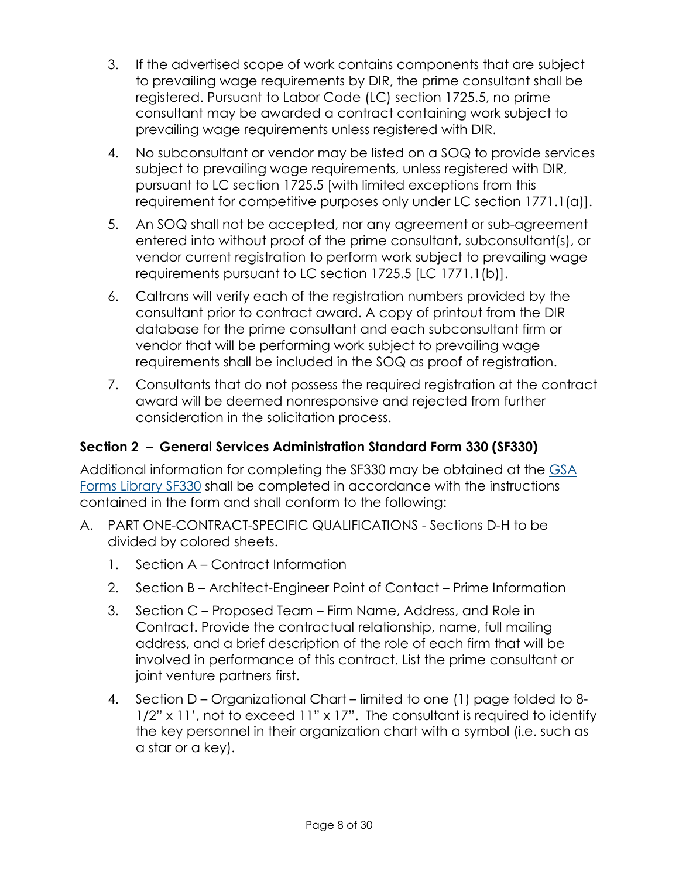- 3. If the advertised scope of work contains components that are subject to prevailing wage requirements by DIR, the prime consultant shall be registered. Pursuant to Labor Code (LC) section 1725.5, no prime consultant may be awarded a contract containing work subject to prevailing wage requirements unless registered with DIR.
- 4. No subconsultant or vendor may be listed on a SOQ to provide services subject to prevailing wage requirements, unless registered with DIR, pursuant to LC section 1725.5 [with limited exceptions from this requirement for competitive purposes only under LC section 1771.1(a)].
- 5. An SOQ shall not be accepted, nor any agreement or sub-agreement entered into without proof of the prime consultant, subconsultant(s), or vendor current registration to perform work subject to prevailing wage requirements pursuant to LC section 1725.5 [LC 1771.1(b)].
- 6. Caltrans will verify each of the registration numbers provided by the consultant prior to contract award. A copy of printout from the DIR database for the prime consultant and each subconsultant firm or vendor that will be performing work subject to prevailing wage requirements shall be included in the SOQ as proof of registration.
- 7. Consultants that do not possess the required registration at the contract award will be deemed nonresponsive and rejected from further consideration in the solicitation process.

# **Section 2 – General Services Administration Standard Form 330 (SF330)**

Additional information for completing the SF330 may be obtained at the [GSA](https://www.gsa.gov/forms-library/architect-engineer-qualifications)  [Forms Library SF330](https://www.gsa.gov/forms-library/architect-engineer-qualifications) shall be completed in accordance with the instructions contained in the form and shall conform to the following:

- A. PART ONE-CONTRACT-SPECIFIC QUALIFICATIONS Sections D-H to be divided by colored sheets.
	- 1. Section A Contract Information
	- 2. Section B Architect-Engineer Point of Contact Prime Information
	- 3. Section C Proposed Team Firm Name, Address, and Role in Contract. Provide the contractual relationship, name, full mailing address, and a brief description of the role of each firm that will be involved in performance of this contract. List the prime consultant or joint venture partners first.
	- 4. Section D Organizational Chart limited to one (1) page folded to 8- 1/2" x 11', not to exceed 11" x 17". The consultant is required to identify the key personnel in their organization chart with a symbol (i.e. such as a star or a key).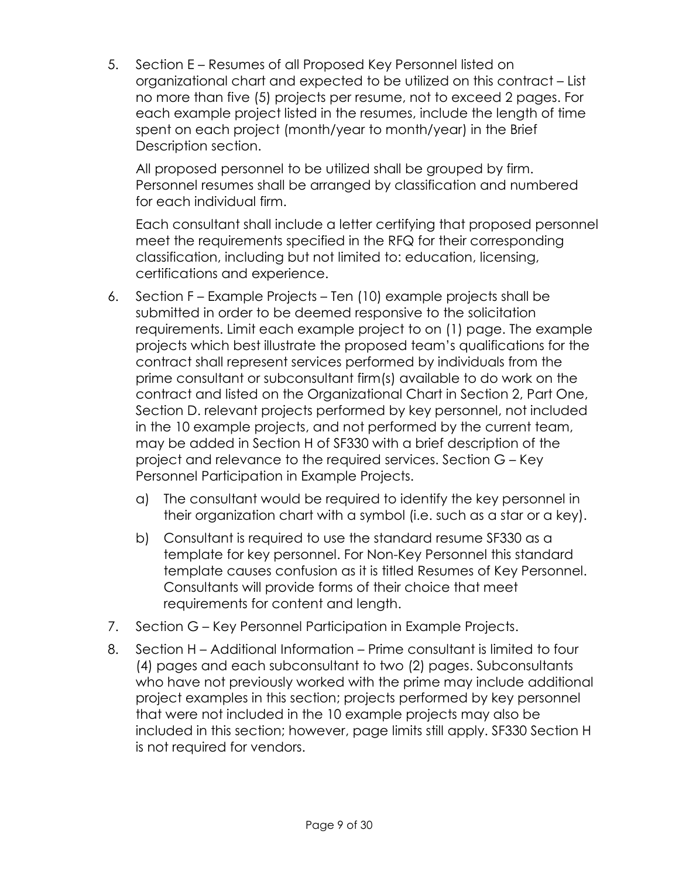5. Section E – Resumes of all Proposed Key Personnel listed on organizational chart and expected to be utilized on this contract – List no more than five (5) projects per resume, not to exceed 2 pages. For each example project listed in the resumes, include the length of time spent on each project (month/year to month/year) in the Brief Description section.

All proposed personnel to be utilized shall be grouped by firm. Personnel resumes shall be arranged by classification and numbered for each individual firm.

Each consultant shall include a letter certifying that proposed personnel meet the requirements specified in the RFQ for their corresponding classification, including but not limited to: education, licensing, certifications and experience.

- 6. Section F Example Projects Ten (10) example projects shall be submitted in order to be deemed responsive to the solicitation requirements. Limit each example project to on (1) page. The example projects which best illustrate the proposed team's qualifications for the contract shall represent services performed by individuals from the prime consultant or subconsultant firm(s) available to do work on the contract and listed on the Organizational Chart in Section 2, Part One, Section D. relevant projects performed by key personnel, not included in the 10 example projects, and not performed by the current team, may be added in Section H of SF330 with a brief description of the project and relevance to the required services. Section G – Key Personnel Participation in Example Projects.
	- a) The consultant would be required to identify the key personnel in their organization chart with a symbol (i.e. such as a star or a key).
	- b) Consultant is required to use the standard resume SF330 as a template for key personnel. For Non-Key Personnel this standard template causes confusion as it is titled Resumes of Key Personnel. Consultants will provide forms of their choice that meet requirements for content and length.
- 7. Section G Key Personnel Participation in Example Projects.
- 8. Section H Additional Information Prime consultant is limited to four (4) pages and each subconsultant to two (2) pages. Subconsultants who have not previously worked with the prime may include additional project examples in this section; projects performed by key personnel that were not included in the 10 example projects may also be included in this section; however, page limits still apply. SF330 Section H is not required for vendors.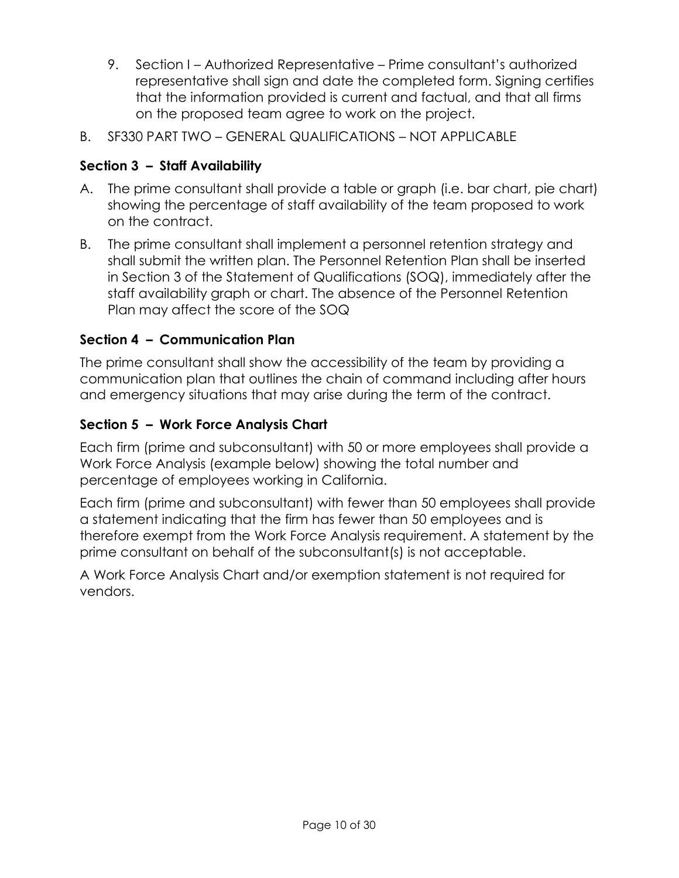- 9. Section I Authorized Representative Prime consultant's authorized representative shall sign and date the completed form. Signing certifies that the information provided is current and factual, and that all firms on the proposed team agree to work on the project.
- B. SF330 PART TWO GENERAL QUALIFICATIONS NOT APPLICABLE

## **Section 3 – Staff Availability**

- A. The prime consultant shall provide a table or graph (i.e. bar chart, pie chart) showing the percentage of staff availability of the team proposed to work on the contract.
- B. The prime consultant shall implement a personnel retention strategy and shall submit the written plan. The Personnel Retention Plan shall be inserted in Section 3 of the Statement of Qualifications (SOQ), immediately after the staff availability graph or chart. The absence of the Personnel Retention Plan may affect the score of the SOQ

## **Section 4 – Communication Plan**

The prime consultant shall show the accessibility of the team by providing a communication plan that outlines the chain of command including after hours and emergency situations that may arise during the term of the contract.

## **Section 5 – Work Force Analysis Chart**

Each firm (prime and subconsultant) with 50 or more employees shall provide a Work Force Analysis (example below) showing the total number and percentage of employees working in California.

Each firm (prime and subconsultant) with fewer than 50 employees shall provide a statement indicating that the firm has fewer than 50 employees and is therefore exempt from the Work Force Analysis requirement. A statement by the prime consultant on behalf of the subconsultant(s) is not acceptable.

A Work Force Analysis Chart and/or exemption statement is not required for vendors.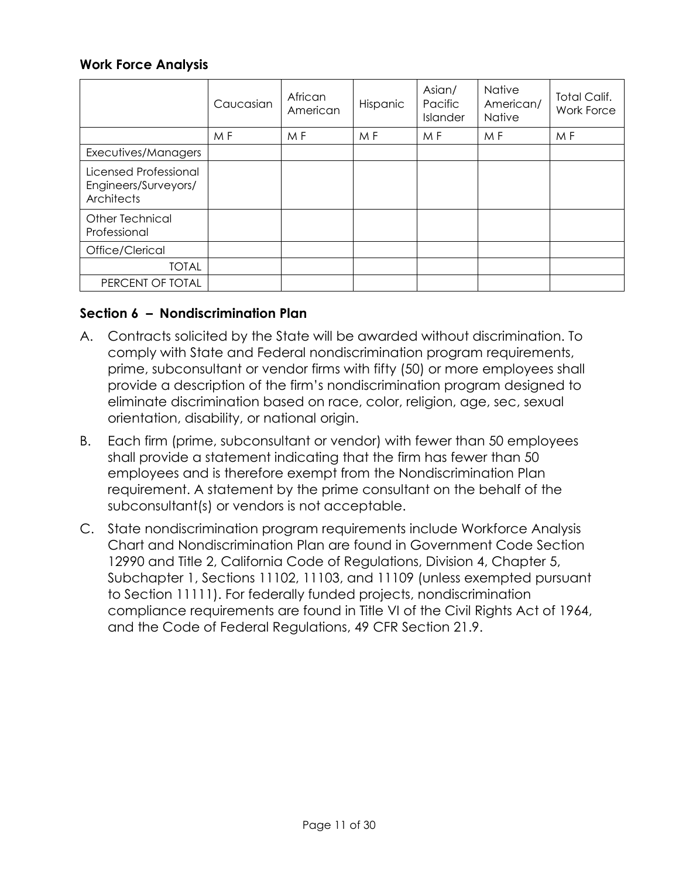#### **Work Force Analysis**

|                                                             | Caucasian | African<br>American | Hispanic | Asian/<br>Pacific<br>Islander | <b>Native</b><br>American/<br><b>Native</b> | <b>Total Calif.</b><br><b>Work Force</b> |
|-------------------------------------------------------------|-----------|---------------------|----------|-------------------------------|---------------------------------------------|------------------------------------------|
|                                                             | M F       | M F                 | M F      | M F                           | M F                                         | M F                                      |
| Executives/Managers                                         |           |                     |          |                               |                                             |                                          |
| Licensed Professional<br>Engineers/Surveyors/<br>Architects |           |                     |          |                               |                                             |                                          |
| Other Technical<br>Professional                             |           |                     |          |                               |                                             |                                          |
| Office/Clerical                                             |           |                     |          |                               |                                             |                                          |
| <b>TOTAL</b>                                                |           |                     |          |                               |                                             |                                          |
| PERCENT OF TOTAL                                            |           |                     |          |                               |                                             |                                          |

#### **Section 6 – Nondiscrimination Plan**

- A. Contracts solicited by the State will be awarded without discrimination. To comply with State and Federal nondiscrimination program requirements, prime, subconsultant or vendor firms with fifty (50) or more employees shall provide a description of the firm's nondiscrimination program designed to eliminate discrimination based on race, color, religion, age, sec, sexual orientation, disability, or national origin.
- B. Each firm (prime, subconsultant or vendor) with fewer than 50 employees shall provide a statement indicating that the firm has fewer than 50 employees and is therefore exempt from the Nondiscrimination Plan requirement. A statement by the prime consultant on the behalf of the subconsultant(s) or vendors is not acceptable.
- C. State nondiscrimination program requirements include Workforce Analysis Chart and Nondiscrimination Plan are found in Government Code Section 12990 and Title 2, California Code of Regulations, Division 4, Chapter 5, Subchapter 1, Sections 11102, 11103, and 11109 (unless exempted pursuant to Section 11111). For federally funded projects, nondiscrimination compliance requirements are found in Title VI of the Civil Rights Act of 1964, and the Code of Federal Regulations, 49 CFR Section 21.9.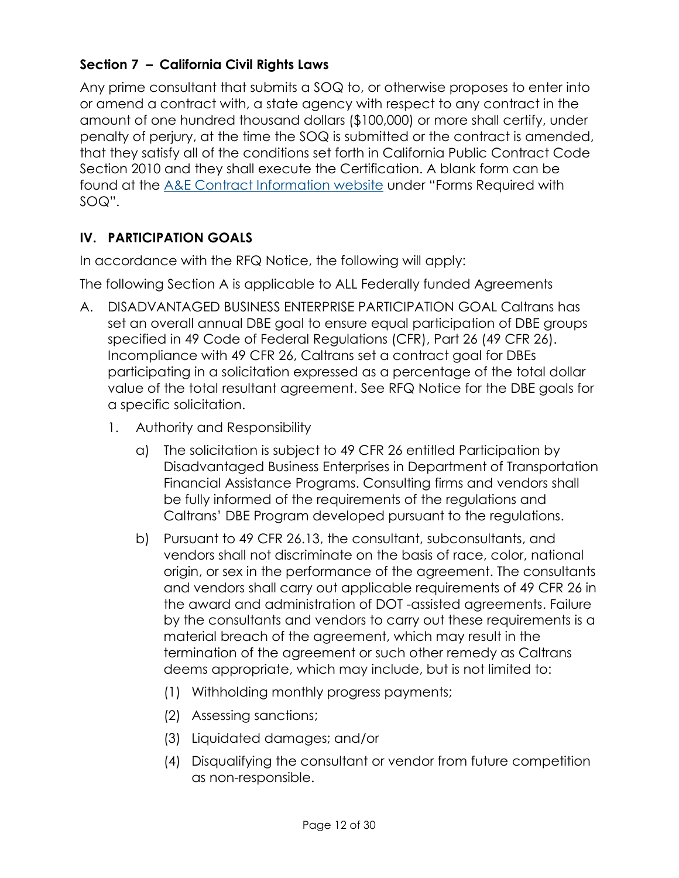## **Section 7 – California Civil Rights Laws**

Any prime consultant that submits a SOQ to, or otherwise proposes to enter into or amend a contract with, a state agency with respect to any contract in the amount of one hundred thousand dollars (\$100,000) or more shall certify, under penalty of perjury, at the time the SOQ is submitted or the contract is amended, that they satisfy all of the conditions set forth in California Public Contract Code Section 2010 and they shall execute the Certification. A blank form can be found at the [A&E Contract Information website](https://dot.ca.gov/programs/procurement-and-contracts/ae-contract-information) under "Forms Required with SOQ".

# **IV. PARTICIPATION GOALS**

In accordance with the RFQ Notice, the following will apply:

The following Section A is applicable to ALL Federally funded Agreements

- A. DISADVANTAGED BUSINESS ENTERPRISE PARTICIPATION GOAL Caltrans has set an overall annual DBE goal to ensure equal participation of DBE groups specified in 49 Code of Federal Regulations (CFR), Part 26 (49 CFR 26). Incompliance with 49 CFR 26, Caltrans set a contract goal for DBEs participating in a solicitation expressed as a percentage of the total dollar value of the total resultant agreement. See RFQ Notice for the DBE goals for a specific solicitation.
	- 1. Authority and Responsibility
		- a) The solicitation is subject to 49 CFR 26 entitled Participation by Disadvantaged Business Enterprises in Department of Transportation Financial Assistance Programs. Consulting firms and vendors shall be fully informed of the requirements of the regulations and Caltrans' DBE Program developed pursuant to the regulations.
		- b) Pursuant to 49 CFR 26.13, the consultant, subconsultants, and vendors shall not discriminate on the basis of race, color, national origin, or sex in the performance of the agreement. The consultants and vendors shall carry out applicable requirements of 49 CFR 26 in the award and administration of DOT -assisted agreements. Failure by the consultants and vendors to carry out these requirements is a material breach of the agreement, which may result in the termination of the agreement or such other remedy as Caltrans deems appropriate, which may include, but is not limited to:
			- (1) Withholding monthly progress payments;
			- (2) Assessing sanctions;
			- (3) Liquidated damages; and/or
			- (4) Disqualifying the consultant or vendor from future competition as non-responsible.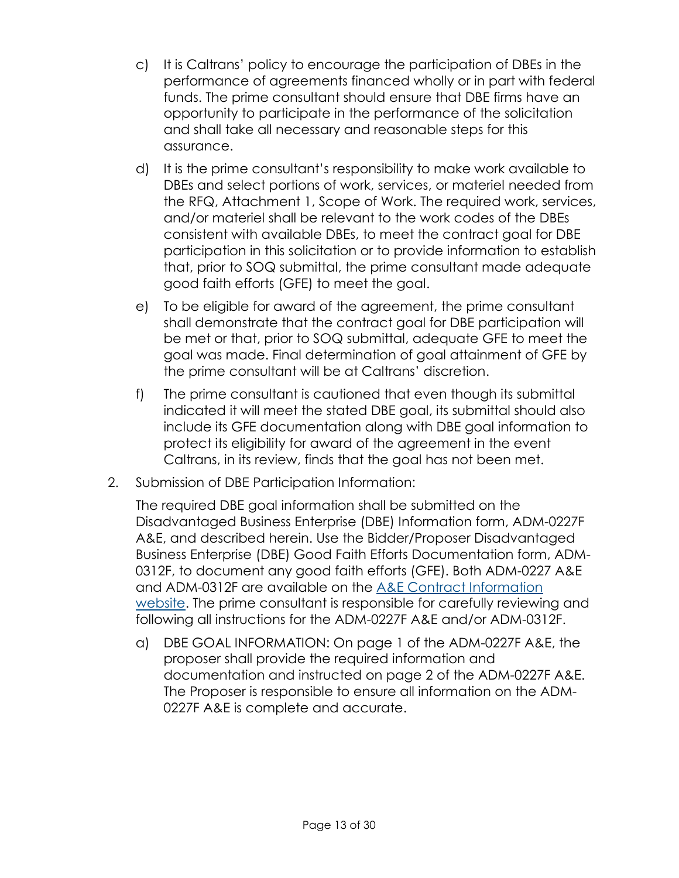- c) It is Caltrans' policy to encourage the participation of DBEs in the performance of agreements financed wholly or in part with federal funds. The prime consultant should ensure that DBE firms have an opportunity to participate in the performance of the solicitation and shall take all necessary and reasonable steps for this assurance.
- d) It is the prime consultant's responsibility to make work available to DBEs and select portions of work, services, or materiel needed from the RFQ, Attachment 1, Scope of Work. The required work, services, and/or materiel shall be relevant to the work codes of the DBEs consistent with available DBEs, to meet the contract goal for DBE participation in this solicitation or to provide information to establish that, prior to SOQ submittal, the prime consultant made adequate good faith efforts (GFE) to meet the goal.
- e) To be eligible for award of the agreement, the prime consultant shall demonstrate that the contract goal for DBE participation will be met or that, prior to SOQ submittal, adequate GFE to meet the goal was made. Final determination of goal attainment of GFE by the prime consultant will be at Caltrans' discretion.
- f) The prime consultant is cautioned that even though its submittal indicated it will meet the stated DBE goal, its submittal should also include its GFE documentation along with DBE goal information to protect its eligibility for award of the agreement in the event Caltrans, in its review, finds that the goal has not been met.
- 2. Submission of DBE Participation Information:

The required DBE goal information shall be submitted on the Disadvantaged Business Enterprise (DBE) Information form, ADM-0227F A&E, and described herein. Use the Bidder/Proposer Disadvantaged Business Enterprise (DBE) Good Faith Efforts Documentation form, ADM-0312F, to document any good faith efforts (GFE). Both ADM-0227 A&E and ADM-0312F are available on the [A&E Contract Information](https://dot.ca.gov/programs/procurement-and-contracts/ae-contract-information)  [website.](https://dot.ca.gov/programs/procurement-and-contracts/ae-contract-information) The prime consultant is responsible for carefully reviewing and following all instructions for the ADM-0227F A&E and/or ADM-0312F.

a) DBE GOAL INFORMATION: On page 1 of the ADM-0227F A&E, the proposer shall provide the required information and documentation and instructed on page 2 of the ADM-0227F A&E. The Proposer is responsible to ensure all information on the ADM-0227F A&E is complete and accurate.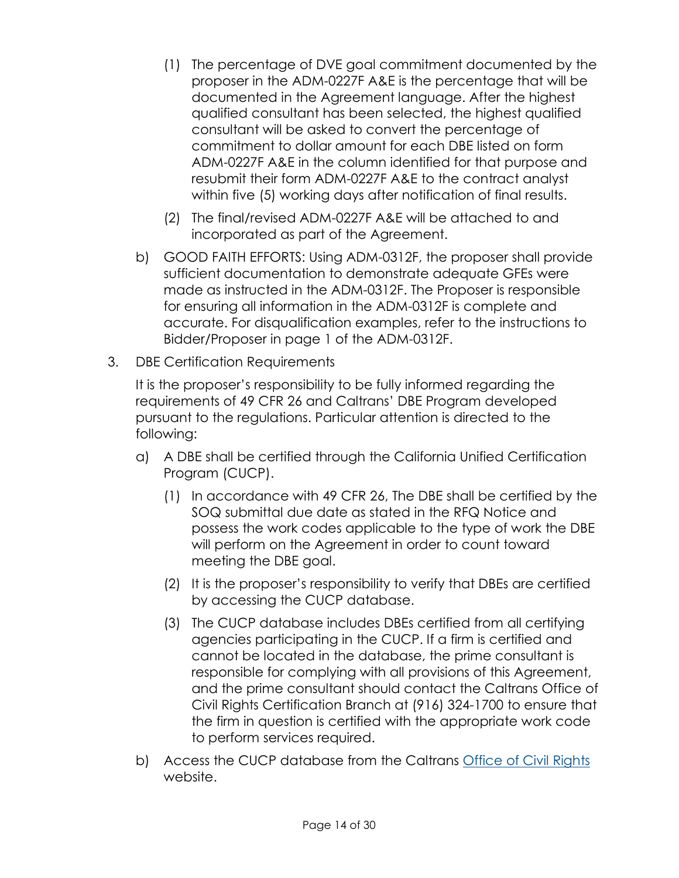- (1) The percentage of DVE goal commitment documented by the proposer in the ADM-0227F A&E is the percentage that will be documented in the Agreement language. After the highest qualified consultant has been selected, the highest qualified consultant will be asked to convert the percentage of commitment to dollar amount for each DBE listed on form ADM-0227F A&E in the column identified for that purpose and resubmit their form ADM-0227F A&E to the contract analyst within five (5) working days after notification of final results.
- (2) The final/revised ADM-0227F A&E will be attached to and incorporated as part of the Agreement.
- b) GOOD FAITH EFFORTS: Using ADM-0312F, the proposer shall provide sufficient documentation to demonstrate adequate GFEs were made as instructed in the ADM-0312F. The Proposer is responsible for ensuring all information in the ADM-0312F is complete and accurate. For disqualification examples, refer to the instructions to Bidder/Proposer in page 1 of the ADM-0312F.
- 3. DBE Certification Requirements

It is the proposer's responsibility to be fully informed regarding the requirements of 49 CFR 26 and Caltrans' DBE Program developed pursuant to the regulations. Particular attention is directed to the following:

- a) A DBE shall be certified through the California Unified Certification Program (CUCP).
	- (1) In accordance with 49 CFR 26, The DBE shall be certified by the SOQ submittal due date as stated in the RFQ Notice and possess the work codes applicable to the type of work the DBE will perform on the Agreement in order to count toward meeting the DBE goal.
	- (2) It is the proposer's responsibility to verify that DBEs are certified by accessing the CUCP database.
	- (3) The CUCP database includes DBEs certified from all certifying agencies participating in the CUCP. If a firm is certified and cannot be located in the database, the prime consultant is responsible for complying with all provisions of this Agreement, and the prime consultant should contact the Caltrans Office of Civil Rights Certification Branch at (916) 324-1700 to ensure that the firm in question is certified with the appropriate work code to perform services required.
- b) Access the CUCP database from the Caltrans [Office of Civil Rights](https://dot.ca.gov/programs/civil-rights/dbe-search) website.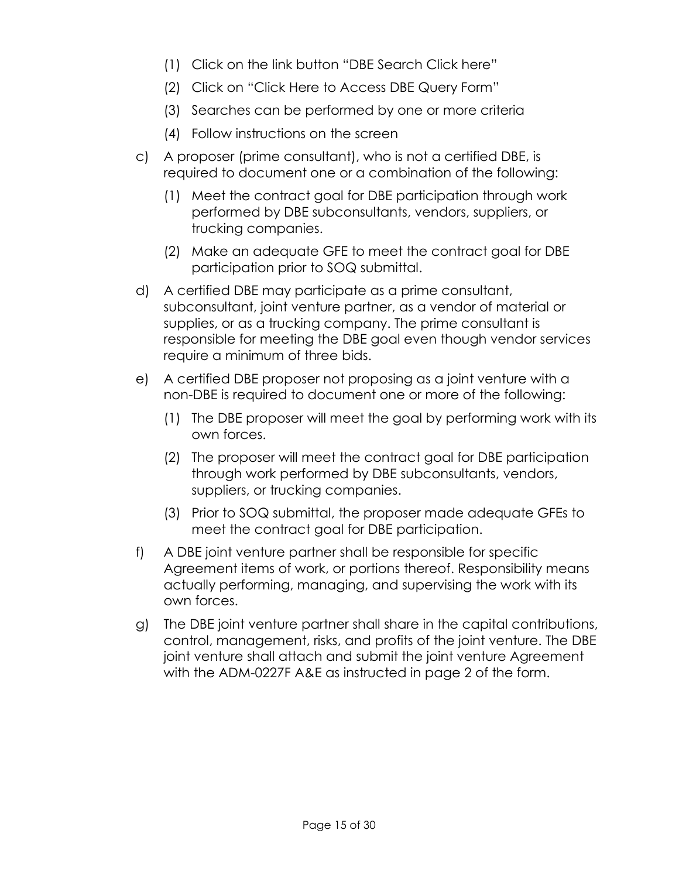- (1) Click on the link button "DBE Search Click here"
- (2) Click on "Click Here to Access DBE Query Form"
- (3) Searches can be performed by one or more criteria
- (4) Follow instructions on the screen
- c) A proposer (prime consultant), who is not a certified DBE, is required to document one or a combination of the following:
	- (1) Meet the contract goal for DBE participation through work performed by DBE subconsultants, vendors, suppliers, or trucking companies.
	- (2) Make an adequate GFE to meet the contract goal for DBE participation prior to SOQ submittal.
- d) A certified DBE may participate as a prime consultant, subconsultant, joint venture partner, as a vendor of material or supplies, or as a trucking company. The prime consultant is responsible for meeting the DBE goal even though vendor services require a minimum of three bids.
- e) A certified DBE proposer not proposing as a joint venture with a non-DBE is required to document one or more of the following:
	- (1) The DBE proposer will meet the goal by performing work with its own forces.
	- (2) The proposer will meet the contract goal for DBE participation through work performed by DBE subconsultants, vendors, suppliers, or trucking companies.
	- (3) Prior to SOQ submittal, the proposer made adequate GFEs to meet the contract goal for DBE participation.
- f) A DBE joint venture partner shall be responsible for specific Agreement items of work, or portions thereof. Responsibility means actually performing, managing, and supervising the work with its own forces.
- g) The DBE joint venture partner shall share in the capital contributions, control, management, risks, and profits of the joint venture. The DBE joint venture shall attach and submit the joint venture Agreement with the ADM-0227F A&E as instructed in page 2 of the form.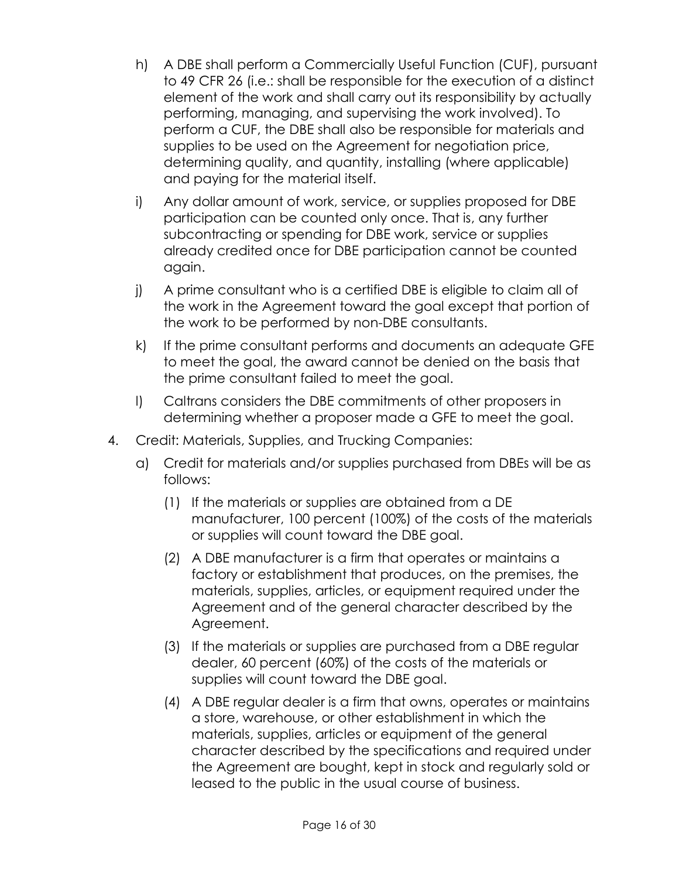- h) A DBE shall perform a Commercially Useful Function (CUF), pursuant to 49 CFR 26 (i.e.: shall be responsible for the execution of a distinct element of the work and shall carry out its responsibility by actually performing, managing, and supervising the work involved). To perform a CUF, the DBE shall also be responsible for materials and supplies to be used on the Agreement for negotiation price, determining quality, and quantity, installing (where applicable) and paying for the material itself.
- i) Any dollar amount of work, service, or supplies proposed for DBE participation can be counted only once. That is, any further subcontracting or spending for DBE work, service or supplies already credited once for DBE participation cannot be counted again.
- j) A prime consultant who is a certified DBE is eligible to claim all of the work in the Agreement toward the goal except that portion of the work to be performed by non-DBE consultants.
- k) If the prime consultant performs and documents an adequate GFE to meet the goal, the award cannot be denied on the basis that the prime consultant failed to meet the goal.
- l) Caltrans considers the DBE commitments of other proposers in determining whether a proposer made a GFE to meet the goal.
- 4. Credit: Materials, Supplies, and Trucking Companies:
	- a) Credit for materials and/or supplies purchased from DBEs will be as follows:
		- (1) If the materials or supplies are obtained from a DE manufacturer, 100 percent (100%) of the costs of the materials or supplies will count toward the DBE goal.
		- (2) A DBE manufacturer is a firm that operates or maintains a factory or establishment that produces, on the premises, the materials, supplies, articles, or equipment required under the Agreement and of the general character described by the Agreement.
		- (3) If the materials or supplies are purchased from a DBE regular dealer, 60 percent (60%) of the costs of the materials or supplies will count toward the DBE goal.
		- (4) A DBE regular dealer is a firm that owns, operates or maintains a store, warehouse, or other establishment in which the materials, supplies, articles or equipment of the general character described by the specifications and required under the Agreement are bought, kept in stock and regularly sold or leased to the public in the usual course of business.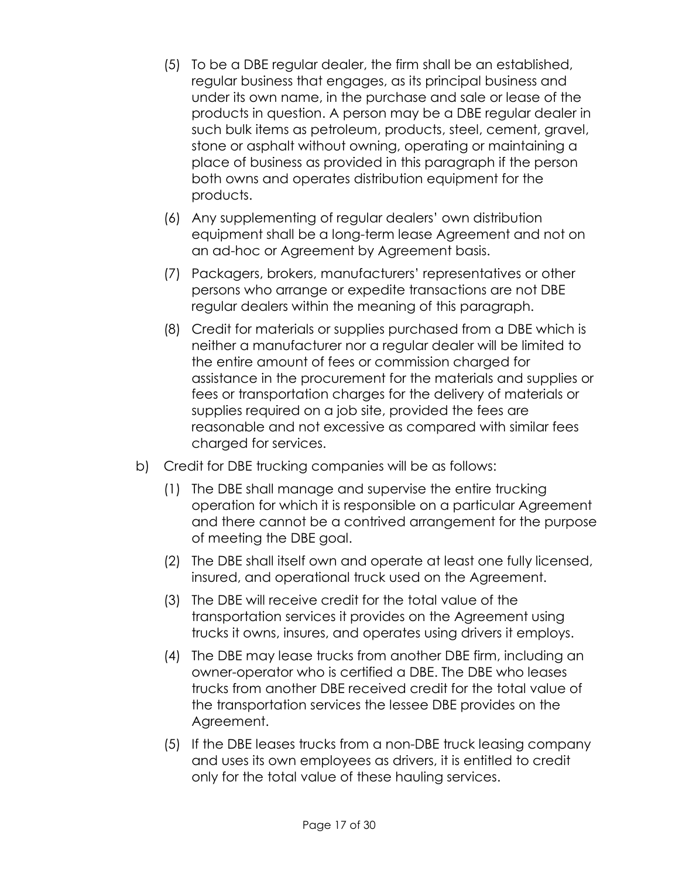- (5) To be a DBE regular dealer, the firm shall be an established, regular business that engages, as its principal business and under its own name, in the purchase and sale or lease of the products in question. A person may be a DBE regular dealer in such bulk items as petroleum, products, steel, cement, gravel, stone or asphalt without owning, operating or maintaining a place of business as provided in this paragraph if the person both owns and operates distribution equipment for the products.
- (6) Any supplementing of regular dealers' own distribution equipment shall be a long-term lease Agreement and not on an ad-hoc or Agreement by Agreement basis.
- (7) Packagers, brokers, manufacturers' representatives or other persons who arrange or expedite transactions are not DBE regular dealers within the meaning of this paragraph.
- (8) Credit for materials or supplies purchased from a DBE which is neither a manufacturer nor a regular dealer will be limited to the entire amount of fees or commission charged for assistance in the procurement for the materials and supplies or fees or transportation charges for the delivery of materials or supplies required on a job site, provided the fees are reasonable and not excessive as compared with similar fees charged for services.
- b) Credit for DBE trucking companies will be as follows:
	- (1) The DBE shall manage and supervise the entire trucking operation for which it is responsible on a particular Agreement and there cannot be a contrived arrangement for the purpose of meeting the DBE goal.
	- (2) The DBE shall itself own and operate at least one fully licensed, insured, and operational truck used on the Agreement.
	- (3) The DBE will receive credit for the total value of the transportation services it provides on the Agreement using trucks it owns, insures, and operates using drivers it employs.
	- (4) The DBE may lease trucks from another DBE firm, including an owner-operator who is certified a DBE. The DBE who leases trucks from another DBE received credit for the total value of the transportation services the lessee DBE provides on the Agreement.
	- (5) If the DBE leases trucks from a non-DBE truck leasing company and uses its own employees as drivers, it is entitled to credit only for the total value of these hauling services.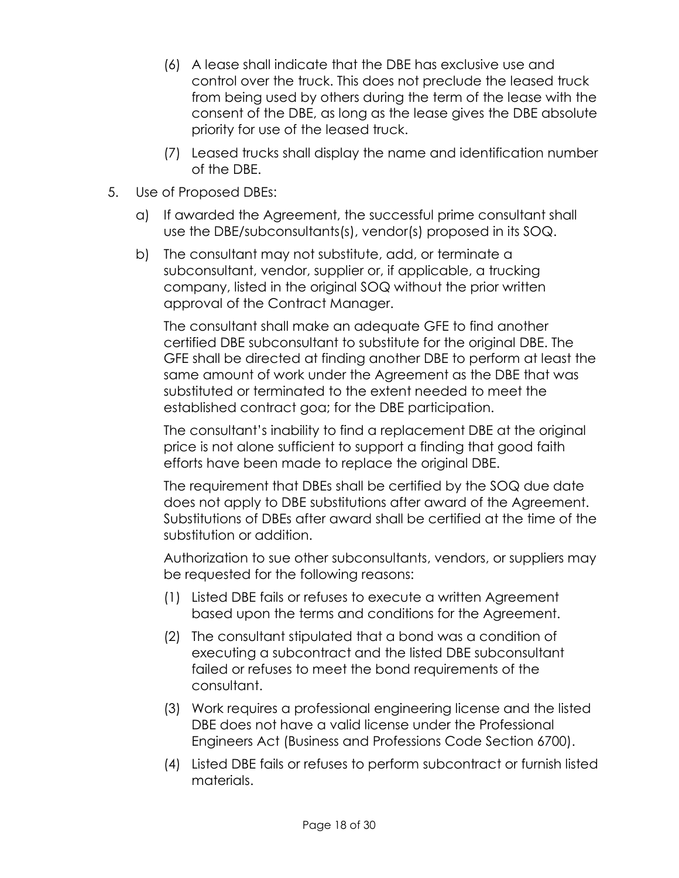- (6) A lease shall indicate that the DBE has exclusive use and control over the truck. This does not preclude the leased truck from being used by others during the term of the lease with the consent of the DBE, as long as the lease gives the DBE absolute priority for use of the leased truck.
- (7) Leased trucks shall display the name and identification number of the DBE.
- 5. Use of Proposed DBEs:
	- a) If awarded the Agreement, the successful prime consultant shall use the DBE/subconsultants(s), vendor(s) proposed in its SOQ.
	- b) The consultant may not substitute, add, or terminate a subconsultant, vendor, supplier or, if applicable, a trucking company, listed in the original SOQ without the prior written approval of the Contract Manager.

The consultant shall make an adequate GFE to find another certified DBE subconsultant to substitute for the original DBE. The GFE shall be directed at finding another DBE to perform at least the same amount of work under the Agreement as the DBE that was substituted or terminated to the extent needed to meet the established contract goa; for the DBE participation.

The consultant's inability to find a replacement DBE at the original price is not alone sufficient to support a finding that good faith efforts have been made to replace the original DBE.

The requirement that DBEs shall be certified by the SOQ due date does not apply to DBE substitutions after award of the Agreement. Substitutions of DBEs after award shall be certified at the time of the substitution or addition.

Authorization to sue other subconsultants, vendors, or suppliers may be requested for the following reasons:

- (1) Listed DBE fails or refuses to execute a written Agreement based upon the terms and conditions for the Agreement.
- (2) The consultant stipulated that a bond was a condition of executing a subcontract and the listed DBE subconsultant failed or refuses to meet the bond requirements of the consultant.
- (3) Work requires a professional engineering license and the listed DBE does not have a valid license under the Professional Engineers Act (Business and Professions Code Section 6700).
- (4) Listed DBE fails or refuses to perform subcontract or furnish listed materials.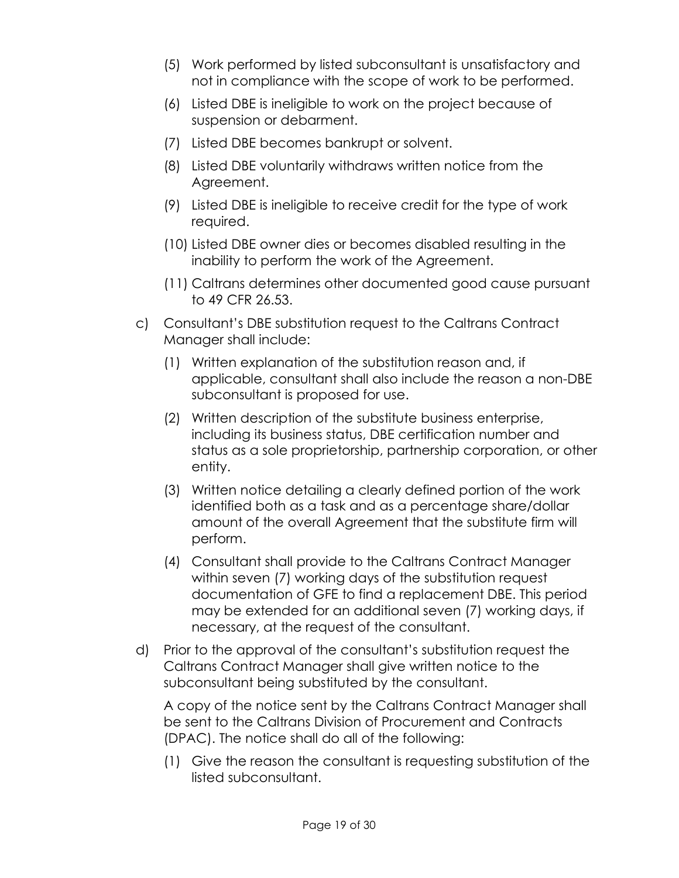- (5) Work performed by listed subconsultant is unsatisfactory and not in compliance with the scope of work to be performed.
- (6) Listed DBE is ineligible to work on the project because of suspension or debarment.
- (7) Listed DBE becomes bankrupt or solvent.
- (8) Listed DBE voluntarily withdraws written notice from the Agreement.
- (9) Listed DBE is ineligible to receive credit for the type of work required.
- (10) Listed DBE owner dies or becomes disabled resulting in the inability to perform the work of the Agreement.
- (11) Caltrans determines other documented good cause pursuant to 49 CFR 26.53.
- c) Consultant's DBE substitution request to the Caltrans Contract Manager shall include:
	- (1) Written explanation of the substitution reason and, if applicable, consultant shall also include the reason a non-DBE subconsultant is proposed for use.
	- (2) Written description of the substitute business enterprise, including its business status, DBE certification number and status as a sole proprietorship, partnership corporation, or other entity.
	- (3) Written notice detailing a clearly defined portion of the work identified both as a task and as a percentage share/dollar amount of the overall Agreement that the substitute firm will perform.
	- (4) Consultant shall provide to the Caltrans Contract Manager within seven (7) working days of the substitution request documentation of GFE to find a replacement DBE. This period may be extended for an additional seven (7) working days, if necessary, at the request of the consultant.
- d) Prior to the approval of the consultant's substitution request the Caltrans Contract Manager shall give written notice to the subconsultant being substituted by the consultant.

A copy of the notice sent by the Caltrans Contract Manager shall be sent to the Caltrans Division of Procurement and Contracts (DPAC). The notice shall do all of the following:

(1) Give the reason the consultant is requesting substitution of the listed subconsultant.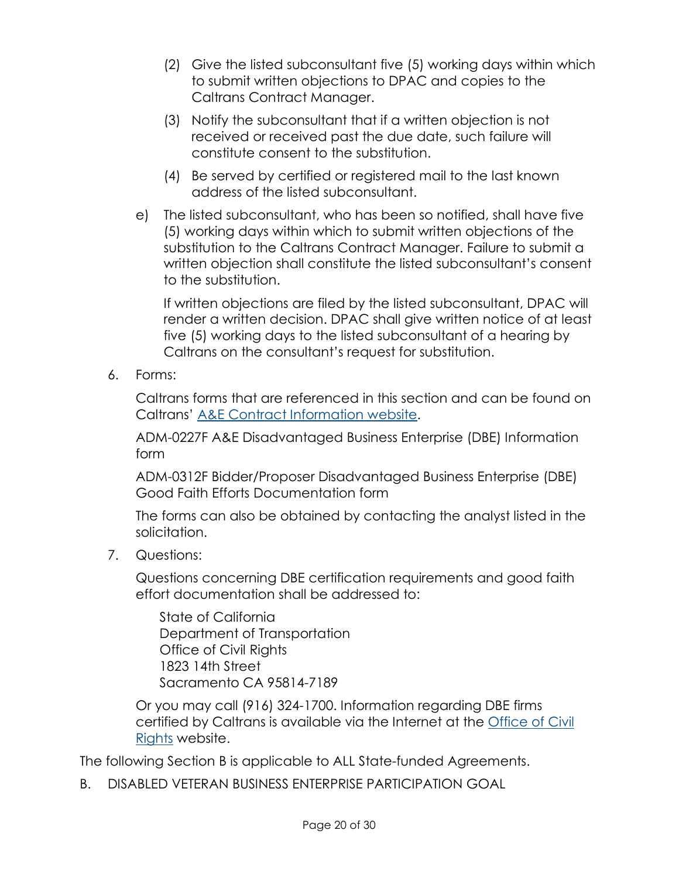- (2) Give the listed subconsultant five (5) working days within which to submit written objections to DPAC and copies to the Caltrans Contract Manager.
- (3) Notify the subconsultant that if a written objection is not received or received past the due date, such failure will constitute consent to the substitution.
- (4) Be served by certified or registered mail to the last known address of the listed subconsultant.
- e) The listed subconsultant, who has been so notified, shall have five (5) working days within which to submit written objections of the substitution to the Caltrans Contract Manager. Failure to submit a written objection shall constitute the listed subconsultant's consent to the substitution.

If written objections are filed by the listed subconsultant, DPAC will render a written decision. DPAC shall give written notice of at least five (5) working days to the listed subconsultant of a hearing by Caltrans on the consultant's request for substitution.

6. Forms:

Caltrans forms that are referenced in this section and can be found on Caltrans' [A&E Contract Information website.](https://dot.ca.gov/programs/procurement-and-contracts/ae-contract-information)

ADM-0227F A&E Disadvantaged Business Enterprise (DBE) Information form

ADM-0312F Bidder/Proposer Disadvantaged Business Enterprise (DBE) Good Faith Efforts Documentation form

The forms can also be obtained by contacting the analyst listed in the solicitation.

7. Questions:

Questions concerning DBE certification requirements and good faith effort documentation shall be addressed to:

State of California Department of Transportation Office of Civil Rights 1823 14th Street Sacramento CA 95814-7189

Or you may call (916) 324-1700. Information regarding DBE firms certified by Caltrans is available via the Internet at the [Office of Civil](https://dot.ca.gov/programs/civil-rights/dbe-search)  [Rights](https://dot.ca.gov/programs/civil-rights/dbe-search) website.

The following Section B is applicable to ALL State-funded Agreements.

B. DISABLED VETERAN BUSINESS ENTERPRISE PARTICIPATION GOAL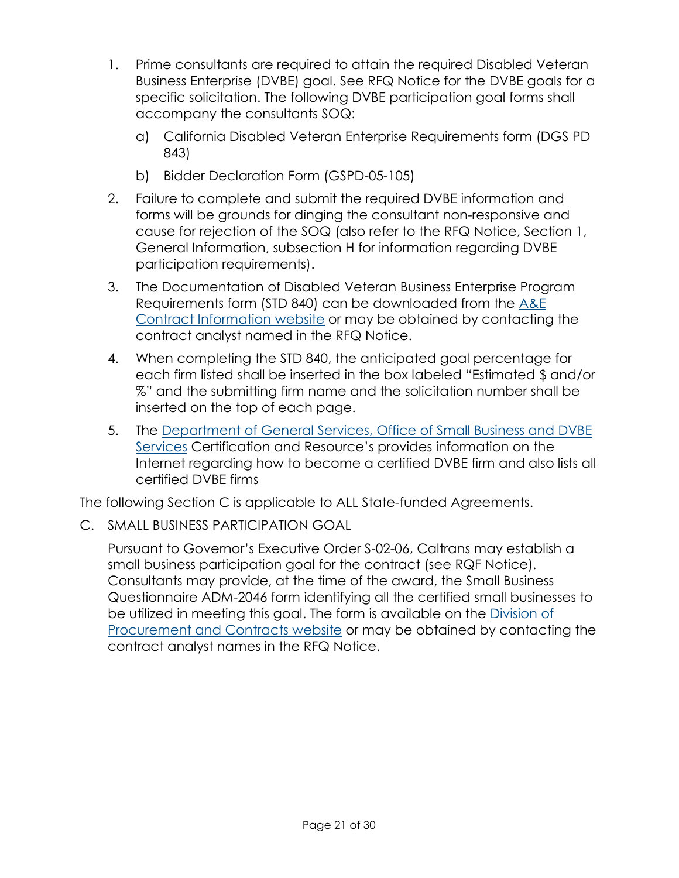- 1. Prime consultants are required to attain the required Disabled Veteran Business Enterprise (DVBE) goal. See RFQ Notice for the DVBE goals for a specific solicitation. The following DVBE participation goal forms shall accompany the consultants SOQ:
	- a) California Disabled Veteran Enterprise Requirements form (DGS PD 843)
	- b) Bidder Declaration Form (GSPD-05-105)
- 2. Failure to complete and submit the required DVBE information and forms will be grounds for dinging the consultant non-responsive and cause for rejection of the SOQ (also refer to the RFQ Notice, Section 1, General Information, subsection H for information regarding DVBE participation requirements).
- 3. The Documentation of Disabled Veteran Business Enterprise Program Requirements form (STD 840) can be downloaded from the [A&E](https://dot.ca.gov/programs/procurement-and-contracts/ae-contract-information)  [Contract Information website](https://dot.ca.gov/programs/procurement-and-contracts/ae-contract-information) or may be obtained by contacting the contract analyst named in the RFQ Notice.
- 4. When completing the STD 840, the anticipated goal percentage for each firm listed shall be inserted in the box labeled "Estimated \$ and/or %" and the submitting firm name and the solicitation number shall be inserted on the top of each page.
- 5. The [Department of General Services, Office of Small Business and DVBE](https://www.dgs.ca.gov/PD/Services/Page-Content/Procurement-Division-Services-List-Folder/Certify-or-Re-apply-as-Small-Business-Disabled-Veteran-Business-Enterprise)  [Services](https://www.dgs.ca.gov/PD/Services/Page-Content/Procurement-Division-Services-List-Folder/Certify-or-Re-apply-as-Small-Business-Disabled-Veteran-Business-Enterprise) Certification and Resource's provides information on the Internet regarding how to become a certified DVBE firm and also lists all certified DVBE firms

The following Section C is applicable to ALL State-funded Agreements.

C. SMALL BUSINESS PARTICIPATION GOAL

Pursuant to Governor's Executive Order S-02-06, Caltrans may establish a small business participation goal for the contract (see RQF Notice). Consultants may provide, at the time of the award, the Small Business Questionnaire ADM-2046 form identifying all the certified small businesses to be utilized in meeting this goal. The form is available on the [Division of](https://dot.ca.gov/programs/procurement-and-contracts)  [Procurement and Contracts website](https://dot.ca.gov/programs/procurement-and-contracts) or may be obtained by contacting the contract analyst names in the RFQ Notice.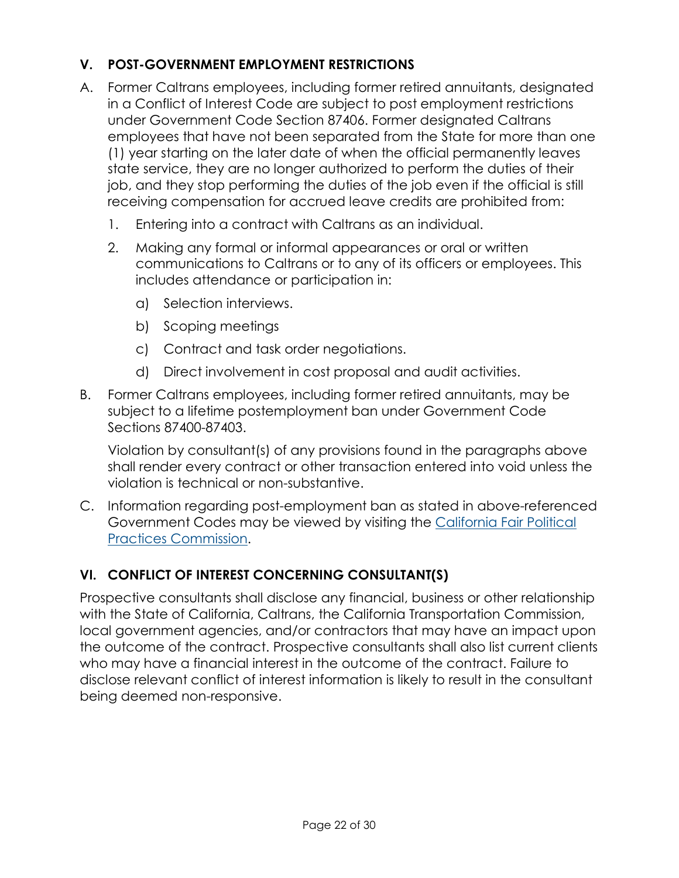# **V. POST-GOVERNMENT EMPLOYMENT RESTRICTIONS**

- A. Former Caltrans employees, including former retired annuitants, designated in a Conflict of Interest Code are subject to post employment restrictions under Government Code Section 87406. Former designated Caltrans employees that have not been separated from the State for more than one (1) year starting on the later date of when the official permanently leaves state service, they are no longer authorized to perform the duties of their job, and they stop performing the duties of the job even if the official is still receiving compensation for accrued leave credits are prohibited from:
	- 1. Entering into a contract with Caltrans as an individual.
	- 2. Making any formal or informal appearances or oral or written communications to Caltrans or to any of its officers or employees. This includes attendance or participation in:
		- a) Selection interviews.
		- b) Scoping meetings
		- c) Contract and task order negotiations.
		- d) Direct involvement in cost proposal and audit activities.
- B. Former Caltrans employees, including former retired annuitants, may be subject to a lifetime postemployment ban under Government Code Sections 87400-87403.

Violation by consultant(s) of any provisions found in the paragraphs above shall render every contract or other transaction entered into void unless the violation is technical or non-substantive.

C. Information regarding post-employment ban as stated in above-referenced Government Codes may be viewed by visiting the [California Fair Political](http://www.fppc.ca.gov/)  [Practices Commission.](http://www.fppc.ca.gov/)

# **VI. CONFLICT OF INTEREST CONCERNING CONSULTANT(S)**

Prospective consultants shall disclose any financial, business or other relationship with the State of California, Caltrans, the California Transportation Commission, local government agencies, and/or contractors that may have an impact upon the outcome of the contract. Prospective consultants shall also list current clients who may have a financial interest in the outcome of the contract. Failure to disclose relevant conflict of interest information is likely to result in the consultant being deemed non-responsive.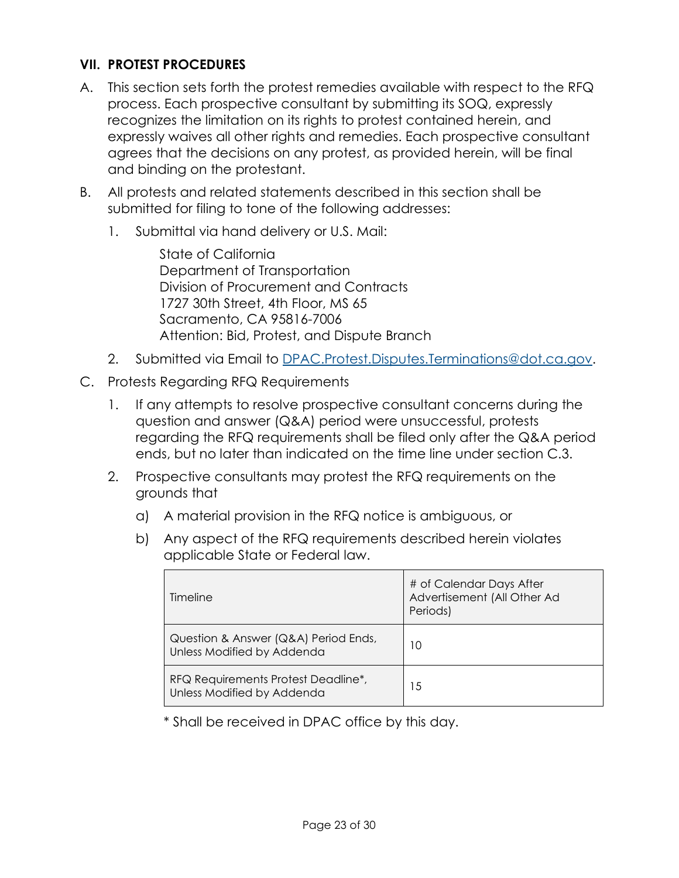#### **VII. PROTEST PROCEDURES**

- A. This section sets forth the protest remedies available with respect to the RFQ process. Each prospective consultant by submitting its SOQ, expressly recognizes the limitation on its rights to protest contained herein, and expressly waives all other rights and remedies. Each prospective consultant agrees that the decisions on any protest, as provided herein, will be final and binding on the protestant.
- B. All protests and related statements described in this section shall be submitted for filing to tone of the following addresses:
	- 1. Submittal via hand delivery or U.S. Mail:

State of California Department of Transportation Division of Procurement and Contracts 1727 30th Street, 4th Floor, MS 65 Sacramento, CA 95816-7006 Attention: Bid, Protest, and Dispute Branch

- 2. Submitted via Email to [DPAC.Protest.Disputes.Terminations@dot.ca.gov.](mailto:DPAC.Protest.Disputes.Terminations@dot.ca.gov)
- C. Protests Regarding RFQ Requirements
	- 1. If any attempts to resolve prospective consultant concerns during the question and answer (Q&A) period were unsuccessful, protests regarding the RFQ requirements shall be filed only after the Q&A period ends, but no later than indicated on the time line under section C.3.
	- 2. Prospective consultants may protest the RFQ requirements on the grounds that
		- a) A material provision in the RFQ notice is ambiguous, or
		- b) Any aspect of the RFQ requirements described herein violates applicable State or Federal law.

| Timeline                                                           | # of Calendar Days After<br>Advertisement (All Other Ad<br>Periods) |
|--------------------------------------------------------------------|---------------------------------------------------------------------|
| Question & Answer (Q&A) Period Ends,<br>Unless Modified by Addenda | 10                                                                  |
| RFQ Requirements Protest Deadline*,<br>Unless Modified by Addenda  | 15                                                                  |

\* Shall be received in DPAC office by this day.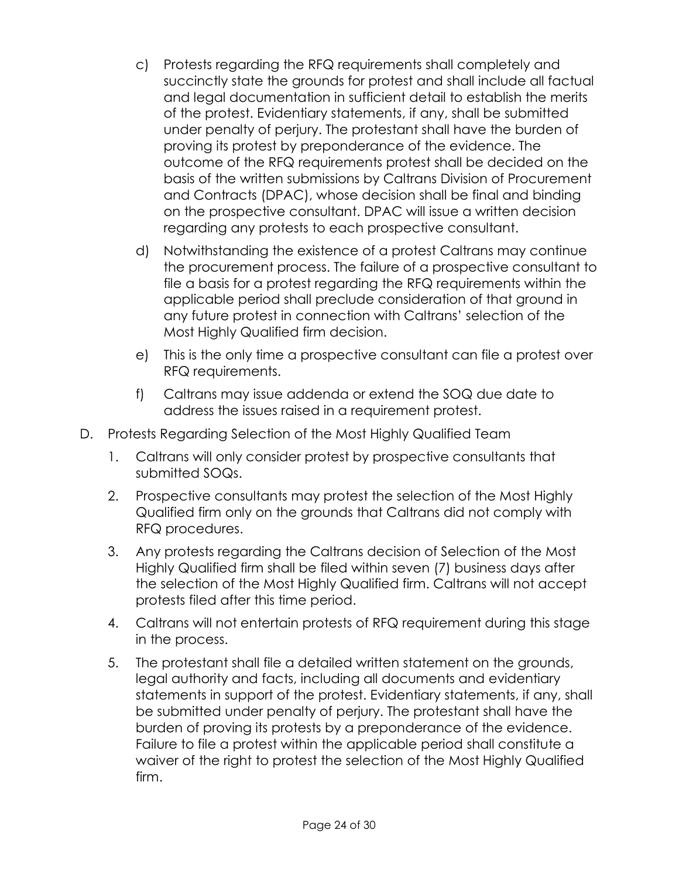- c) Protests regarding the RFQ requirements shall completely and succinctly state the grounds for protest and shall include all factual and legal documentation in sufficient detail to establish the merits of the protest. Evidentiary statements, if any, shall be submitted under penalty of perjury. The protestant shall have the burden of proving its protest by preponderance of the evidence. The outcome of the RFQ requirements protest shall be decided on the basis of the written submissions by Caltrans Division of Procurement and Contracts (DPAC), whose decision shall be final and binding on the prospective consultant. DPAC will issue a written decision regarding any protests to each prospective consultant.
- d) Notwithstanding the existence of a protest Caltrans may continue the procurement process. The failure of a prospective consultant to file a basis for a protest regarding the RFQ requirements within the applicable period shall preclude consideration of that ground in any future protest in connection with Caltrans' selection of the Most Highly Qualified firm decision.
- e) This is the only time a prospective consultant can file a protest over RFQ requirements.
- f) Caltrans may issue addenda or extend the SOQ due date to address the issues raised in a requirement protest.
- D. Protests Regarding Selection of the Most Highly Qualified Team
	- 1. Caltrans will only consider protest by prospective consultants that submitted SOQs.
	- 2. Prospective consultants may protest the selection of the Most Highly Qualified firm only on the grounds that Caltrans did not comply with RFQ procedures.
	- 3. Any protests regarding the Caltrans decision of Selection of the Most Highly Qualified firm shall be filed within seven (7) business days after the selection of the Most Highly Qualified firm. Caltrans will not accept protests filed after this time period.
	- 4. Caltrans will not entertain protests of RFQ requirement during this stage in the process.
	- 5. The protestant shall file a detailed written statement on the grounds, legal authority and facts, including all documents and evidentiary statements in support of the protest. Evidentiary statements, if any, shall be submitted under penalty of perjury. The protestant shall have the burden of proving its protests by a preponderance of the evidence. Failure to file a protest within the applicable period shall constitute a waiver of the right to protest the selection of the Most Highly Qualified firm.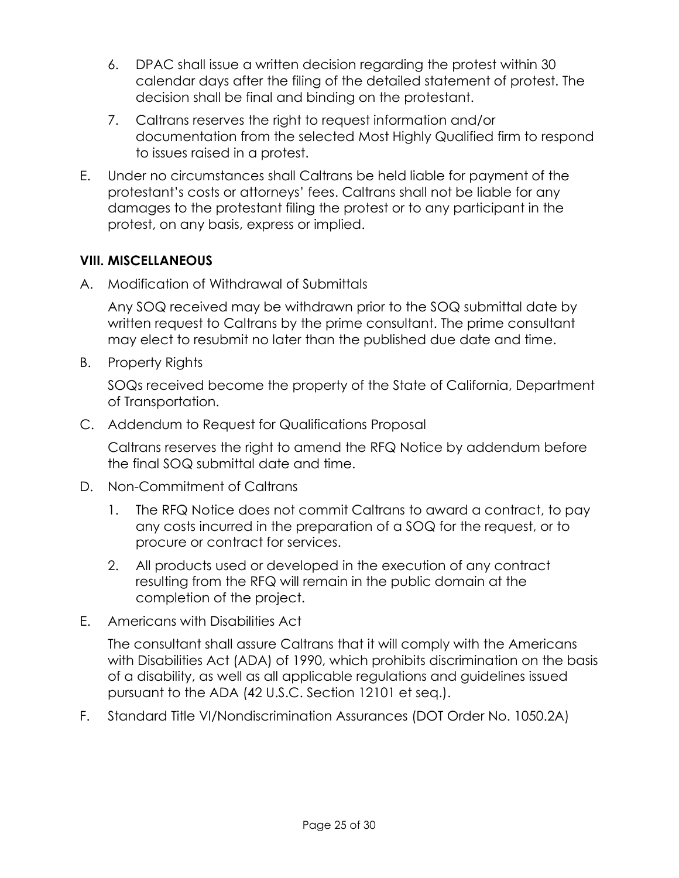- 6. DPAC shall issue a written decision regarding the protest within 30 calendar days after the filing of the detailed statement of protest. The decision shall be final and binding on the protestant.
- 7. Caltrans reserves the right to request information and/or documentation from the selected Most Highly Qualified firm to respond to issues raised in a protest.
- E. Under no circumstances shall Caltrans be held liable for payment of the protestant's costs or attorneys' fees. Caltrans shall not be liable for any damages to the protestant filing the protest or to any participant in the protest, on any basis, express or implied.

### **VIII. MISCELLANEOUS**

A. Modification of Withdrawal of Submittals

Any SOQ received may be withdrawn prior to the SOQ submittal date by written request to Caltrans by the prime consultant. The prime consultant may elect to resubmit no later than the published due date and time.

B. Property Rights

SOQs received become the property of the State of California, Department of Transportation.

C. Addendum to Request for Qualifications Proposal

Caltrans reserves the right to amend the RFQ Notice by addendum before the final SOQ submittal date and time.

- D. Non-Commitment of Caltrans
	- 1. The RFQ Notice does not commit Caltrans to award a contract, to pay any costs incurred in the preparation of a SOQ for the request, or to procure or contract for services.
	- 2. All products used or developed in the execution of any contract resulting from the RFQ will remain in the public domain at the completion of the project.
- E. Americans with Disabilities Act

The consultant shall assure Caltrans that it will comply with the Americans with Disabilities Act (ADA) of 1990, which prohibits discrimination on the basis of a disability, as well as all applicable regulations and guidelines issued pursuant to the ADA (42 U.S.C. Section 12101 et seq.).

F. Standard Title VI/Nondiscrimination Assurances (DOT Order No. 1050.2A)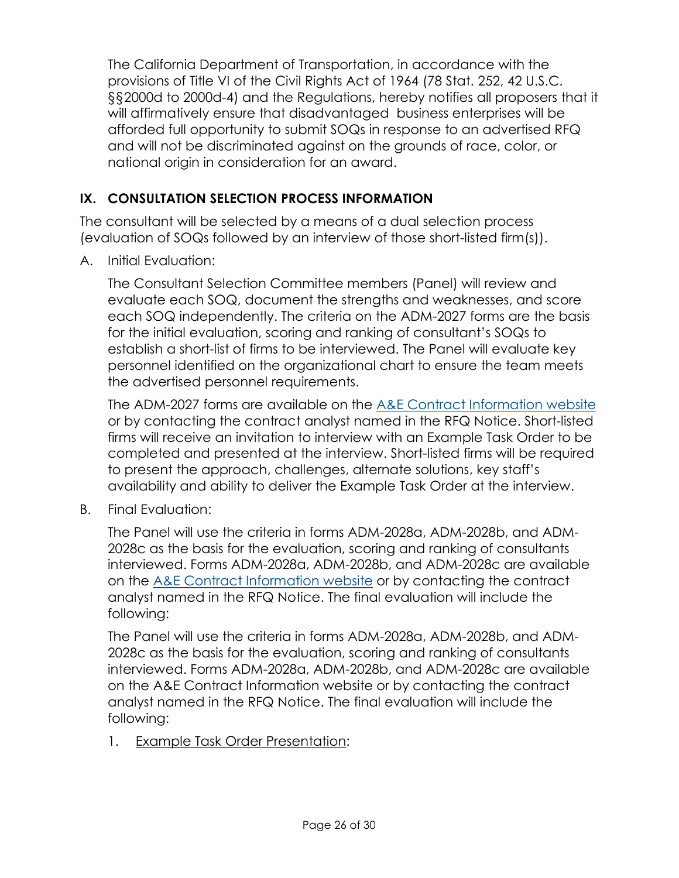The California Department of Transportation, in accordance with the provisions of Title VI of the Civil Rights Act of 1964 (78 Stat. 252, 42 U.S.C. §§2000d to 2000d-4) and the Regulations, hereby notifies all proposers that it will affirmatively ensure that disadvantaged business enterprises will be afforded full opportunity to submit SOQs in response to an advertised RFQ and will not be discriminated against on the grounds of race, color, or national origin in consideration for an award.

## **IX. CONSULTATION SELECTION PROCESS INFORMATION**

The consultant will be selected by a means of a dual selection process (evaluation of SOQs followed by an interview of those short-listed firm(s)).

A. Initial Evaluation:

The Consultant Selection Committee members (Panel) will review and evaluate each SOQ, document the strengths and weaknesses, and score each SOQ independently. The criteria on the ADM-2027 forms are the basis for the initial evaluation, scoring and ranking of consultant's SOQs to establish a short-list of firms to be interviewed. The Panel will evaluate key personnel identified on the organizational chart to ensure the team meets the advertised personnel requirements.

The ADM-2027 forms are available on the [A&E Contract Information website](https://dot.ca.gov/programs/procurement-and-contracts/ae-contract-information) or by contacting the contract analyst named in the RFQ Notice. Short-listed firms will receive an invitation to interview with an Example Task Order to be completed and presented at the interview. Short-listed firms will be required to present the approach, challenges, alternate solutions, key staff's availability and ability to deliver the Example Task Order at the interview.

B. Final Evaluation:

The Panel will use the criteria in forms ADM-2028a, ADM-2028b, and ADM-2028c as the basis for the evaluation, scoring and ranking of consultants interviewed. Forms ADM-2028a, ADM-2028b, and ADM-2028c are available on the [A&E Contract Information website](https://dot.ca.gov/programs/procurement-and-contracts/ae-contract-information) or by contacting the contract analyst named in the RFQ Notice. The final evaluation will include the following:

The Panel will use the criteria in forms ADM-2028a, ADM-2028b, and ADM-2028c as the basis for the evaluation, scoring and ranking of consultants interviewed. Forms ADM-2028a, ADM-2028b, and ADM-2028c are available on the A&E Contract Information website or by contacting the contract analyst named in the RFQ Notice. The final evaluation will include the following:

1. Example Task Order Presentation: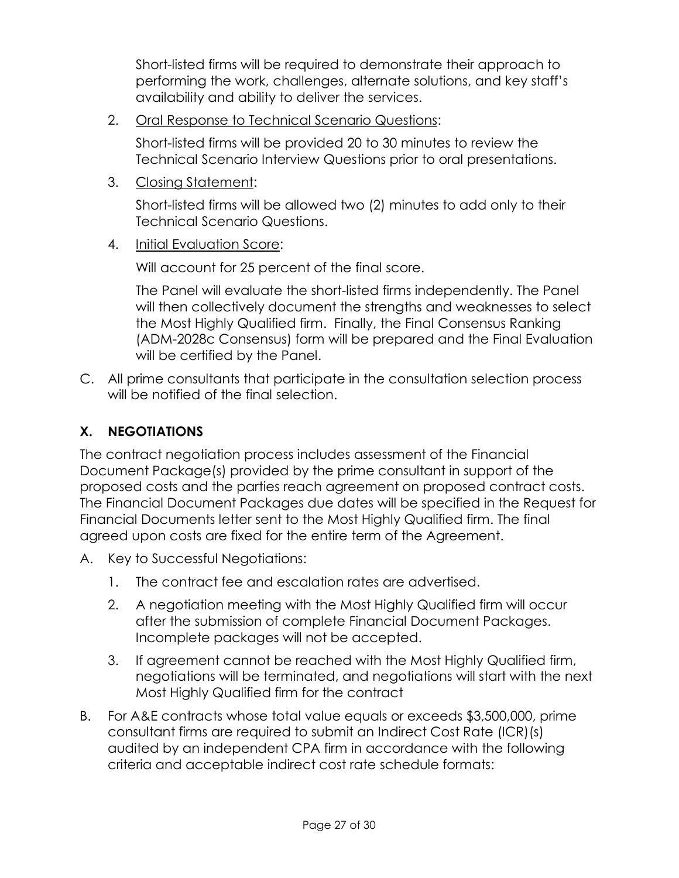Short-listed firms will be required to demonstrate their approach to performing the work, challenges, alternate solutions, and key staff's availability and ability to deliver the services.

2. Oral Response to Technical Scenario Questions:

Short-listed firms will be provided 20 to 30 minutes to review the Technical Scenario Interview Questions prior to oral presentations.

3. Closing Statement:

Short-listed firms will be allowed two (2) minutes to add only to their Technical Scenario Questions.

4. Initial Evaluation Score:

Will account for 25 percent of the final score.

The Panel will evaluate the short-listed firms independently. The Panel will then collectively document the strengths and weaknesses to select the Most Highly Qualified firm. Finally, the Final Consensus Ranking (ADM-2028c Consensus) form will be prepared and the Final Evaluation will be certified by the Panel.

C. All prime consultants that participate in the consultation selection process will be notified of the final selection.

# **X. NEGOTIATIONS**

The contract negotiation process includes assessment of the Financial Document Package(s) provided by the prime consultant in support of the proposed costs and the parties reach agreement on proposed contract costs. The Financial Document Packages due dates will be specified in the Request for Financial Documents letter sent to the Most Highly Qualified firm. The final agreed upon costs are fixed for the entire term of the Agreement.

- A. Key to Successful Negotiations:
	- 1. The contract fee and escalation rates are advertised.
	- 2. A negotiation meeting with the Most Highly Qualified firm will occur after the submission of complete Financial Document Packages. Incomplete packages will not be accepted.
	- 3. If agreement cannot be reached with the Most Highly Qualified firm, negotiations will be terminated, and negotiations will start with the next Most Highly Qualified firm for the contract
- B. For A&E contracts whose total value equals or exceeds \$3,500,000, prime consultant firms are required to submit an Indirect Cost Rate (ICR)(s) audited by an independent CPA firm in accordance with the following criteria and acceptable indirect cost rate schedule formats: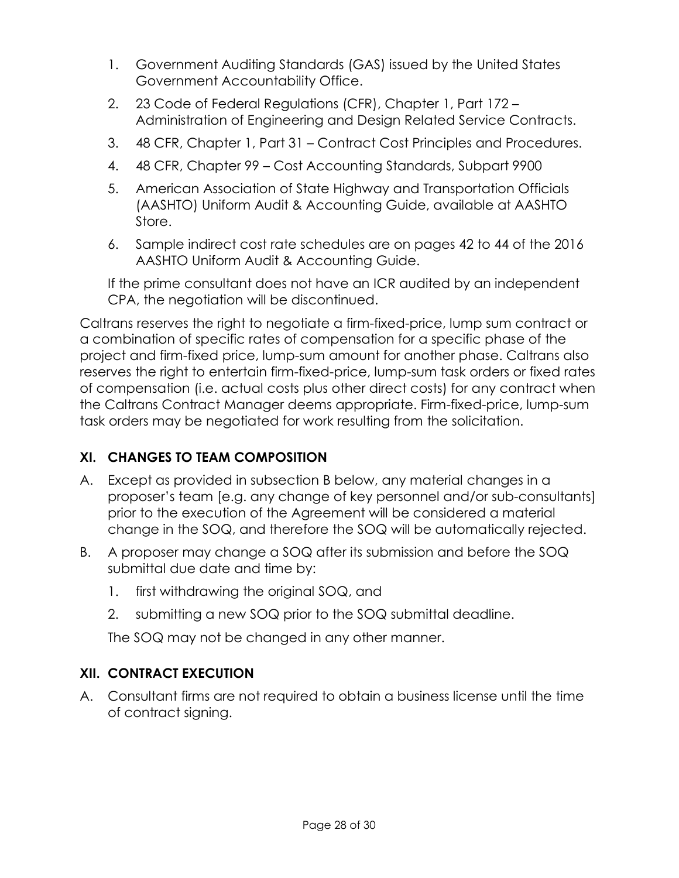- 1. Government Auditing Standards (GAS) issued by the United States Government Accountability Office.
- 2. 23 Code of Federal Regulations (CFR), Chapter 1, Part 172 Administration of Engineering and Design Related Service Contracts.
- 3. 48 CFR, Chapter 1, Part 31 Contract Cost Principles and Procedures.
- 4. 48 CFR, Chapter 99 Cost Accounting Standards, Subpart 9900
- 5. American Association of State Highway and Transportation Officials (AASHTO) Uniform Audit & Accounting Guide, available at AASHTO Store.
- 6. Sample indirect cost rate schedules are on pages 42 to 44 of the 2016 AASHTO Uniform Audit & Accounting Guide.

If the prime consultant does not have an ICR audited by an independent CPA, the negotiation will be discontinued.

Caltrans reserves the right to negotiate a firm-fixed-price, lump sum contract or a combination of specific rates of compensation for a specific phase of the project and firm-fixed price, lump-sum amount for another phase. Caltrans also reserves the right to entertain firm-fixed-price, lump-sum task orders or fixed rates of compensation (i.e. actual costs plus other direct costs) for any contract when the Caltrans Contract Manager deems appropriate. Firm-fixed-price, lump-sum task orders may be negotiated for work resulting from the solicitation.

# **XI. CHANGES TO TEAM COMPOSITION**

- A. Except as provided in subsection B below, any material changes in a proposer's team [e.g. any change of key personnel and/or sub-consultants] prior to the execution of the Agreement will be considered a material change in the SOQ, and therefore the SOQ will be automatically rejected.
- B. A proposer may change a SOQ after its submission and before the SOQ submittal due date and time by:
	- 1. first withdrawing the original SOQ, and
	- 2. submitting a new SOQ prior to the SOQ submittal deadline.

The SOQ may not be changed in any other manner.

# **XII. CONTRACT EXECUTION**

A. Consultant firms are not required to obtain a business license until the time of contract signing.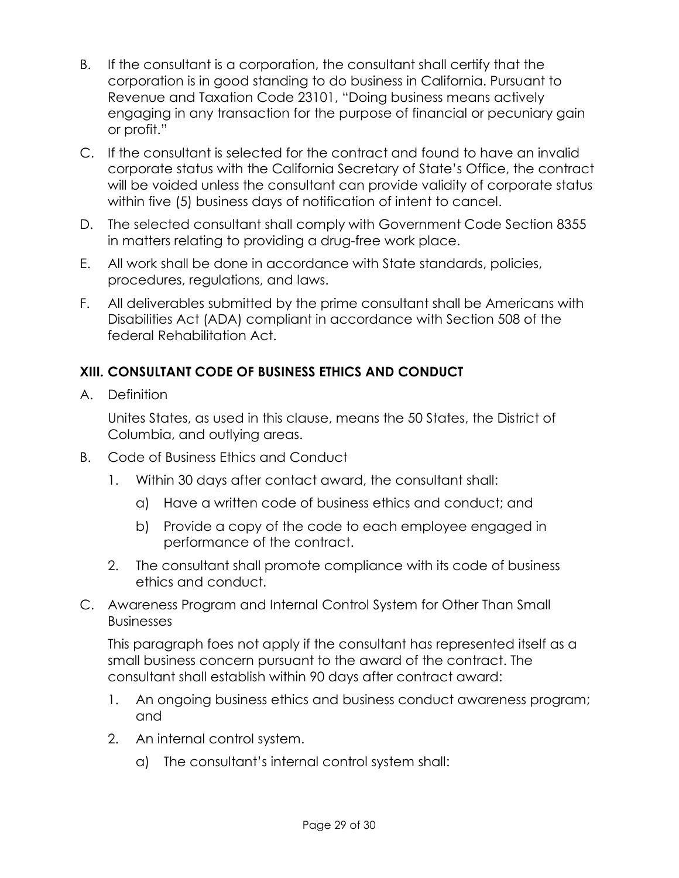- B. If the consultant is a corporation, the consultant shall certify that the corporation is in good standing to do business in California. Pursuant to Revenue and Taxation Code 23101, "Doing business means actively engaging in any transaction for the purpose of financial or pecuniary gain or profit."
- C. If the consultant is selected for the contract and found to have an invalid corporate status with the California Secretary of State's Office, the contract will be voided unless the consultant can provide validity of corporate status within five (5) business days of notification of intent to cancel.
- D. The selected consultant shall comply with Government Code Section 8355 in matters relating to providing a drug-free work place.
- E. All work shall be done in accordance with State standards, policies, procedures, regulations, and laws.
- F. All deliverables submitted by the prime consultant shall be Americans with Disabilities Act (ADA) compliant in accordance with Section 508 of the federal Rehabilitation Act.

# **XIII. CONSULTANT CODE OF BUSINESS ETHICS AND CONDUCT**

A. Definition

Unites States, as used in this clause, means the 50 States, the District of Columbia, and outlying areas.

- B. Code of Business Ethics and Conduct
	- 1. Within 30 days after contact award, the consultant shall:
		- a) Have a written code of business ethics and conduct; and
		- b) Provide a copy of the code to each employee engaged in performance of the contract.
	- 2. The consultant shall promote compliance with its code of business ethics and conduct.
- C. Awareness Program and Internal Control System for Other Than Small Businesses

This paragraph foes not apply if the consultant has represented itself as a small business concern pursuant to the award of the contract. The consultant shall establish within 90 days after contract award:

- 1. An ongoing business ethics and business conduct awareness program; and
- 2. An internal control system.
	- a) The consultant's internal control system shall: